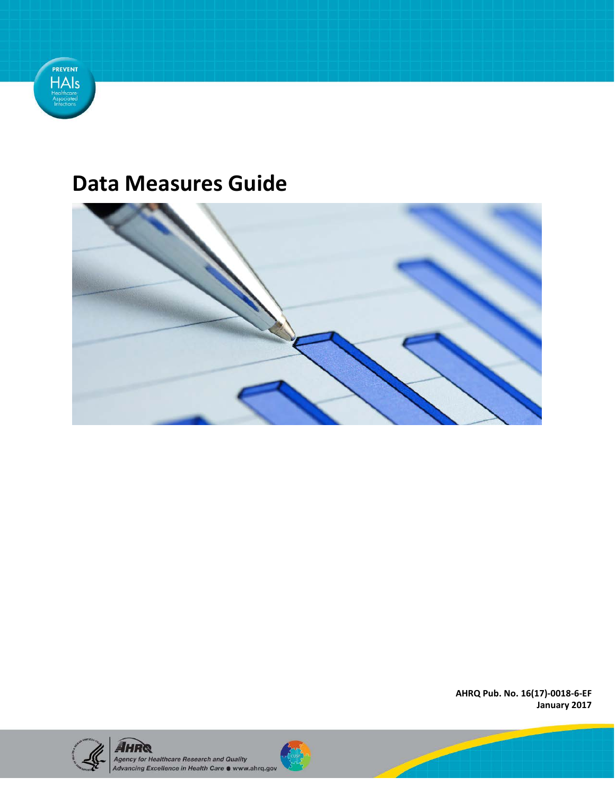

# **Data Measures Guide**



**AHRQ Pub. No. 16(17)-0018-6-EF January 2017** 



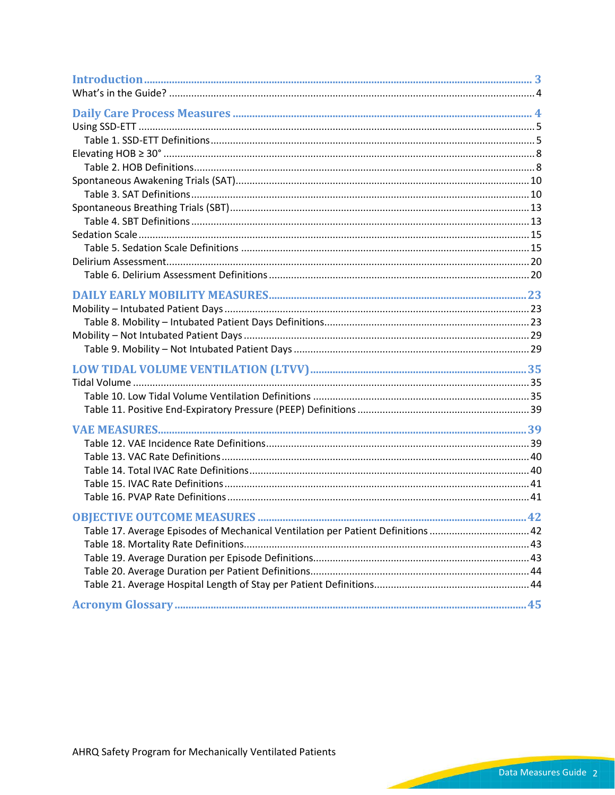| Table 17. Average Episodes of Mechanical Ventilation per Patient Definitions  42 |  |
|----------------------------------------------------------------------------------|--|
|                                                                                  |  |
|                                                                                  |  |
|                                                                                  |  |
|                                                                                  |  |
|                                                                                  |  |
|                                                                                  |  |

AHRQ Safety Program for Mechanically Ventilated Patients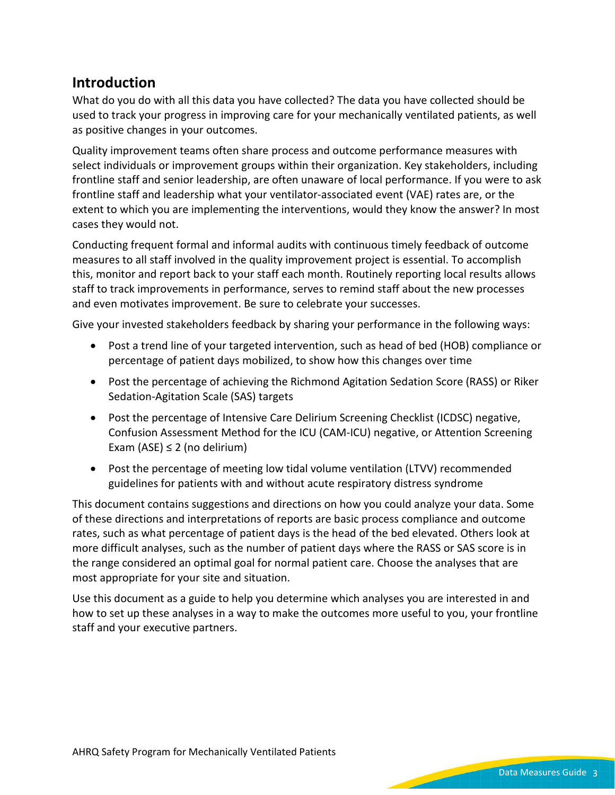## **Introduction**

What do you do with all this data you have collected? The data you have collected should be used to track your progress in improving care for your mechanically ventilated patients, as well as positive changes in your outcomes.

Quality improvement teams often share process and outcome performance measures with select individuals or improvement groups within their organization. Key stakeholders, including frontline staff and senior leadership, are often unaware of local performance. If you were to ask frontline staff and leadership what your ventilator-associated event (VAE) rates are, or the extent to which you are implementing the interventions, would they know the answer? In most cases they would not.

Conducting frequent formal and informal audits with continuous timely feedback of outcome measures to all staff involved in the quality improvement project is essential. To accomplish this, monitor and report back to your staff each month. Routinely reporting local results allows staff to track improvements in performance, serves to remind staff about the new processes and even motivates improvement. Be sure to celebrate your successes.

Give your invested stakeholders feedback by sharing your performance in the following ways:

- Post a trend line of your targeted intervention, such as head of bed (HOB) compliance or percentage of patient days mobilized, to show how this changes over time
- Post the percentage of achieving the Richmond Agitation Sedation Score (RASS) or Riker Sedation-Agitation Scale (SAS) targets
- Post the percentage of Intensive Care Delirium Screening Checklist (ICDSC) negative, Confusion Assessment Method for the ICU (CAM-ICU) negative, or Attention Screening Exam (ASE)  $\leq$  2 (no delirium)
- Post the percentage of meeting low tidal volume ventilation (LTVV) recommended guidelines for patients with and without acute respiratory distress syndrome

This document contains suggestions and directions on how you could analyze your data. Some of these directions and interpretations of reports are basic process compliance and outcome rates, such as what percentage of patient days is the head of the bed elevated. Others look at more difficult analyses, such as the number of patient days where the RASS or SAS score is in the range considered an optimal goal for normal patient care. Choose the analyses that are most appropriate for your site and situation.

Use this document as a guide to help you determine which analyses you are interested in and how to set up these analyses in a way to make the outcomes more useful to you, your frontline staff and your executive partners.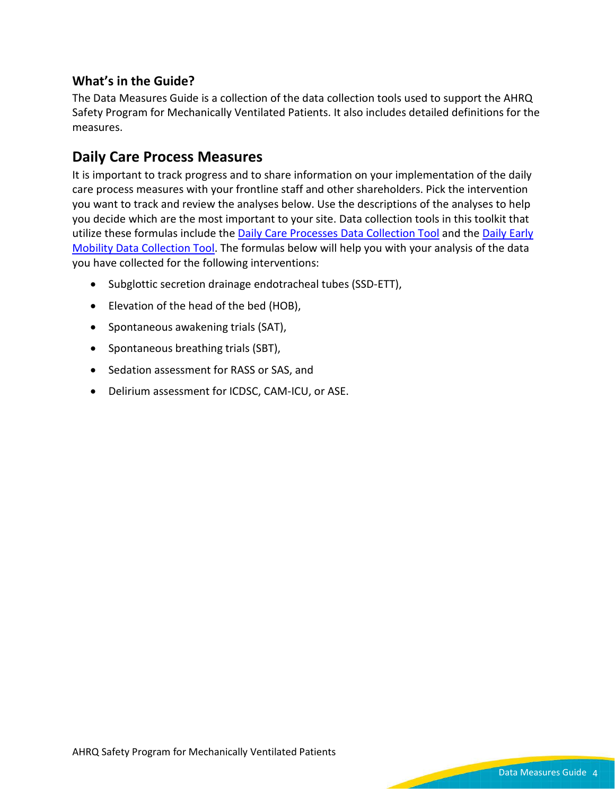### **What's in the Guide?**

The Data Measures Guide is a collection of the data collection tools used to support the AHRQ Safety Program for Mechanically Ventilated Patients. It also includes detailed definitions for the measures.

## **Daily Care Process Measures**

It is important to track progress and to share information on your implementation of the daily care process measures with your frontline staff and other shareholders. Pick the intervention you want to track and review the analyses below. Use the descriptions of the analyses to help you decide which are the most important to your site. Data collection tools in this toolkit that utilize these formulas include the [Daily Care Processes Data Collection Tool](https://www.ahrq.gov/sites/default/files/wysiwyg/professionals/quality-patient-safety/hais/tools/mvp/modules/technical/daily-care-processes-tool.docx) and the [Daily Early](https://www.ahrq.gov/sites/default/files/wysiwyg/professionals/quality-patient-safety/hais/tools/mvp/modules/technical/early-mobility-tool.docx)  [Mobility Data Collection Tool](https://www.ahrq.gov/sites/default/files/wysiwyg/professionals/quality-patient-safety/hais/tools/mvp/modules/technical/early-mobility-tool.docx). The formulas below will help you with your analysis of the data you have collected for the following interventions:

- Subglottic secretion drainage endotracheal tubes (SSD-ETT),
- Elevation of the head of the bed (HOB),
- Spontaneous awakening trials (SAT),
- Spontaneous breathing trials (SBT),
- Sedation assessment for RASS or SAS, and
- Delirium assessment for ICDSC, CAM-ICU, or ASE.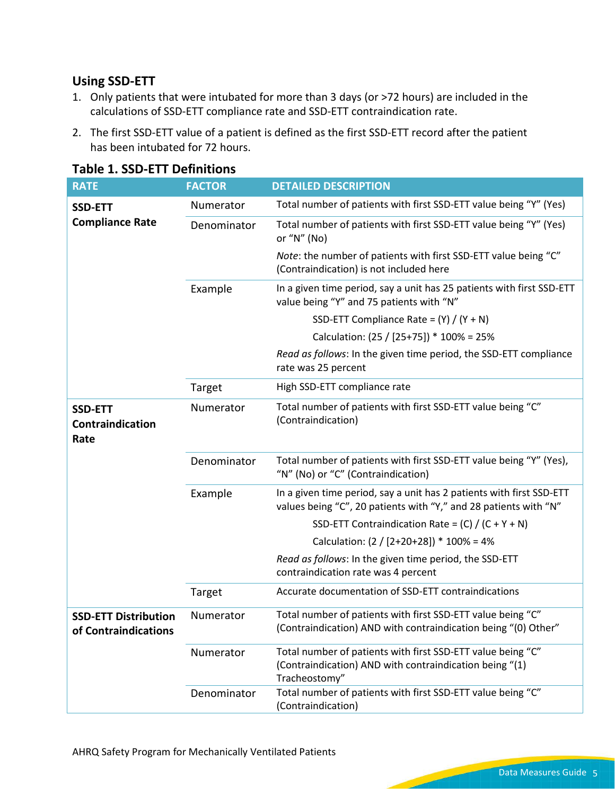#### **Using SSD-ETT**

- 1. Only patients that were intubated for more than 3 days (or >72 hours) are included in the calculations of SSD-ETT compliance rate and SSD-ETT contraindication rate.
- 2. The first SSD-ETT value of a patient is defined as the first SSD-ETT record after the patient has been intubated for 72 hours.

| <b>RATE</b>                                         | <b>FACTOR</b> | <b>DETAILED DESCRIPTION</b>                                                                                                              |
|-----------------------------------------------------|---------------|------------------------------------------------------------------------------------------------------------------------------------------|
| <b>SSD-ETT</b>                                      | Numerator     | Total number of patients with first SSD-ETT value being "Y" (Yes)                                                                        |
| <b>Compliance Rate</b>                              | Denominator   | Total number of patients with first SSD-ETT value being "Y" (Yes)<br>or " $N$ " (No)                                                     |
|                                                     |               | Note: the number of patients with first SSD-ETT value being "C"<br>(Contraindication) is not included here                               |
|                                                     | Example       | In a given time period, say a unit has 25 patients with first SSD-ETT<br>value being "Y" and 75 patients with "N"                        |
|                                                     |               | SSD-ETT Compliance Rate = $(Y) / (Y + N)$                                                                                                |
|                                                     |               | Calculation: (25 / [25+75]) * 100% = 25%                                                                                                 |
|                                                     |               | Read as follows: In the given time period, the SSD-ETT compliance<br>rate was 25 percent                                                 |
|                                                     | Target        | High SSD-ETT compliance rate                                                                                                             |
| <b>SSD-ETT</b><br>Contraindication<br>Rate          | Numerator     | Total number of patients with first SSD-ETT value being "C"<br>(Contraindication)                                                        |
|                                                     | Denominator   | Total number of patients with first SSD-ETT value being "Y" (Yes),<br>"N" (No) or "C" (Contraindication)                                 |
|                                                     | Example       | In a given time period, say a unit has 2 patients with first SSD-ETT<br>values being "C", 20 patients with "Y," and 28 patients with "N" |
|                                                     |               | SSD-ETT Contraindication Rate = $(C) / (C + Y + N)$                                                                                      |
|                                                     |               | Calculation: $(2 / [2+20+28])$ * 100% = 4%                                                                                               |
|                                                     |               | Read as follows: In the given time period, the SSD-ETT<br>contraindication rate was 4 percent                                            |
|                                                     | Target        | Accurate documentation of SSD-ETT contraindications                                                                                      |
| <b>SSD-ETT Distribution</b><br>of Contraindications | Numerator     | Total number of patients with first SSD-ETT value being "C"<br>(Contraindication) AND with contraindication being "(0) Other"            |
|                                                     | Numerator     | Total number of patients with first SSD-ETT value being "C"<br>(Contraindication) AND with contraindication being "(1)<br>Tracheostomy"  |
|                                                     | Denominator   | Total number of patients with first SSD-ETT value being "C"<br>(Contraindication)                                                        |

#### **Table 1. SSD-ETT Definitions**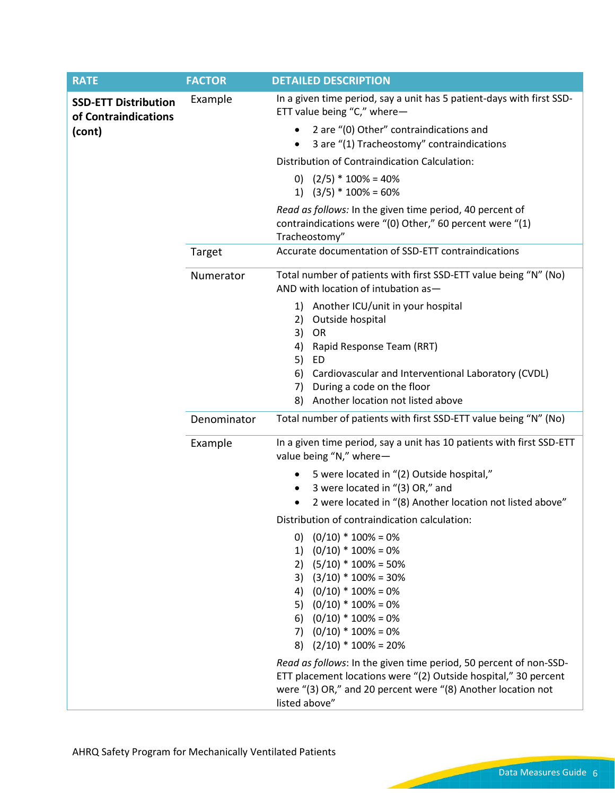| <b>RATE</b>                                         | <b>FACTOR</b> | <b>DETAILED DESCRIPTION</b>                                                                                                           |
|-----------------------------------------------------|---------------|---------------------------------------------------------------------------------------------------------------------------------------|
| <b>SSD-ETT Distribution</b><br>of Contraindications | Example       | In a given time period, say a unit has 5 patient-days with first SSD-<br>ETT value being "C," where-                                  |
| (cont)                                              |               | 2 are "(0) Other" contraindications and<br>$\bullet$<br>3 are "(1) Tracheostomy" contraindications<br>$\bullet$                       |
|                                                     |               | Distribution of Contraindication Calculation:                                                                                         |
|                                                     |               | 0) $(2/5) * 100\% = 40\%$                                                                                                             |
|                                                     |               | 1) $(3/5) * 100\% = 60\%$                                                                                                             |
|                                                     |               | Read as follows: In the given time period, 40 percent of<br>contraindications were "(0) Other," 60 percent were "(1)<br>Tracheostomy" |
|                                                     | Target        | Accurate documentation of SSD-ETT contraindications                                                                                   |
|                                                     | Numerator     | Total number of patients with first SSD-ETT value being "N" (No)<br>AND with location of intubation as-                               |
|                                                     |               | 1) Another ICU/unit in your hospital                                                                                                  |
|                                                     |               | 2) Outside hospital                                                                                                                   |
|                                                     |               | 3)<br>OR<br>Rapid Response Team (RRT)<br>4)                                                                                           |
|                                                     |               | 5) ED                                                                                                                                 |
|                                                     |               | Cardiovascular and Interventional Laboratory (CVDL)<br>6)                                                                             |
|                                                     |               | 7) During a code on the floor                                                                                                         |
|                                                     |               | Another location not listed above<br>8)                                                                                               |
|                                                     | Denominator   | Total number of patients with first SSD-ETT value being "N" (No)                                                                      |
|                                                     | Example       | In a given time period, say a unit has 10 patients with first SSD-ETT<br>value being "N," where-                                      |
|                                                     |               | 5 were located in "(2) Outside hospital,"<br>٠                                                                                        |
|                                                     |               | 3 were located in "(3) OR," and<br>٠                                                                                                  |
|                                                     |               | 2 were located in "(8) Another location not listed above"                                                                             |
|                                                     |               | Distribution of contraindication calculation:                                                                                         |
|                                                     |               | 0) $(0/10) * 100\% = 0\%$<br>1) $(0/10) * 100\% = 0\%$                                                                                |
|                                                     |               | 2) $(5/10) * 100\% = 50\%$                                                                                                            |
|                                                     |               | 3) $(3/10) * 100\% = 30\%$                                                                                                            |
|                                                     |               | 4) $(0/10) * 100\% = 0\%$                                                                                                             |
|                                                     |               | 5) $(0/10) * 100\% = 0\%$                                                                                                             |
|                                                     |               | 6) $(0/10) * 100\% = 0\%$<br>7) $(0/10) * 100\% = 0\%$                                                                                |
|                                                     |               | 8) $(2/10) * 100\% = 20\%$                                                                                                            |
|                                                     |               | Read as follows: In the given time period, 50 percent of non-SSD-                                                                     |
|                                                     |               | ETT placement locations were "(2) Outside hospital," 30 percent                                                                       |
|                                                     |               | were "(3) OR," and 20 percent were "(8) Another location not                                                                          |
|                                                     |               | listed above"                                                                                                                         |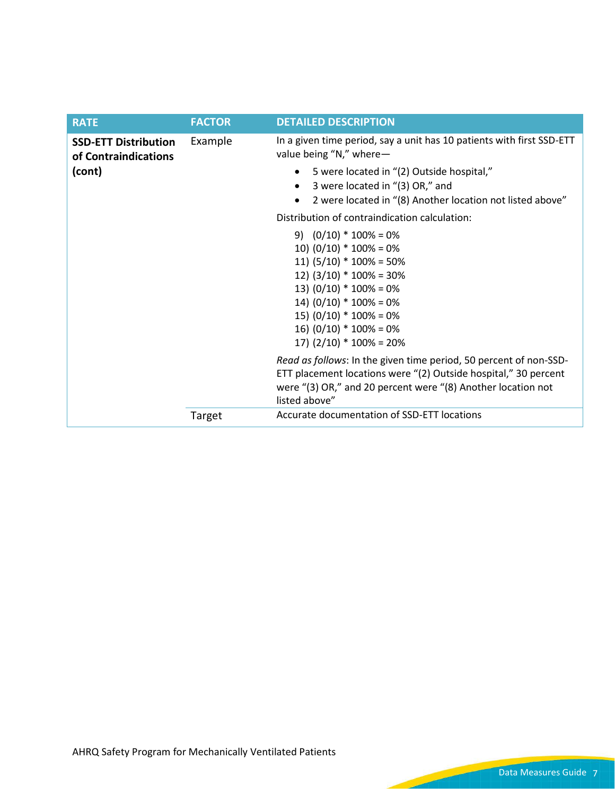| <b>RATE</b>                                         | <b>FACTOR</b> | <b>DETAILED DESCRIPTION</b>                                                                                                                                                                                                                                    |
|-----------------------------------------------------|---------------|----------------------------------------------------------------------------------------------------------------------------------------------------------------------------------------------------------------------------------------------------------------|
| <b>SSD-ETT Distribution</b><br>of Contraindications | Example       | In a given time period, say a unit has 10 patients with first SSD-ETT<br>value being "N," where-                                                                                                                                                               |
| (cont)                                              |               | 5 were located in "(2) Outside hospital,"<br>3 were located in "(3) OR," and<br>2 were located in "(8) Another location not listed above"                                                                                                                      |
|                                                     |               | Distribution of contraindication calculation:                                                                                                                                                                                                                  |
|                                                     |               | 9) $(0/10) * 100\% = 0\%$<br>10) $(0/10) * 100% = 0%$<br>11) $(5/10) * 100% = 50%$<br>12) $(3/10) * 100\% = 30\%$<br>13) $(0/10) * 100% = 0%$<br>14) $(0/10) * 100% = 0%$<br>15) $(0/10) * 100% = 0%$<br>16) $(0/10) * 100% = 0%$<br>17) $(2/10) * 100% = 20%$ |
|                                                     |               | Read as follows: In the given time period, 50 percent of non-SSD-<br>ETT placement locations were "(2) Outside hospital," 30 percent<br>were "(3) OR," and 20 percent were "(8) Another location not<br>listed above"                                          |
|                                                     | Target        | Accurate documentation of SSD-ETT locations                                                                                                                                                                                                                    |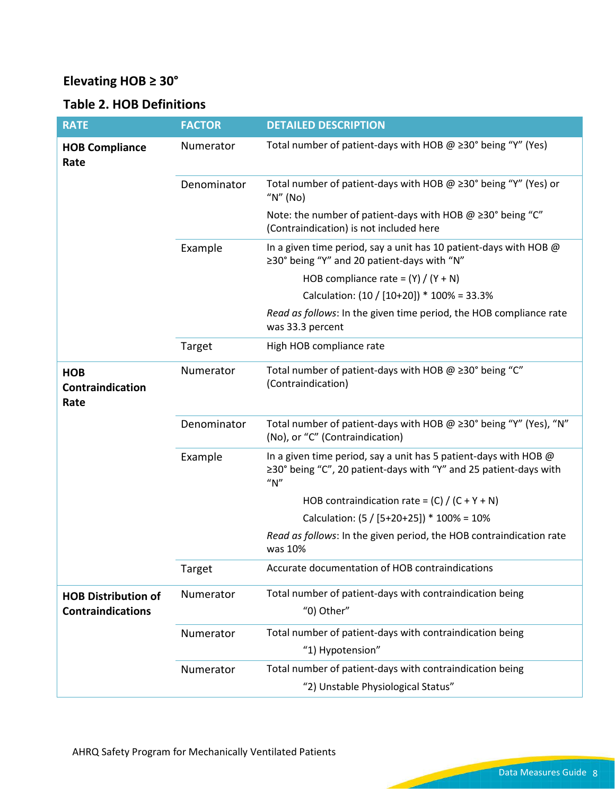## **Elevating HOB ≥ 30°**

## **Table 2. HOB Definitions**

| <b>RATE</b>                                            | <b>FACTOR</b> | <b>DETAILED DESCRIPTION</b>                                                                                                                    |
|--------------------------------------------------------|---------------|------------------------------------------------------------------------------------------------------------------------------------------------|
| <b>HOB Compliance</b><br>Rate                          | Numerator     | Total number of patient-days with HOB $\omega \geq 30^{\circ}$ being "Y" (Yes)                                                                 |
|                                                        | Denominator   | Total number of patient-days with HOB $@>30°$ being "Y" (Yes) or<br>" $N$ " (No)                                                               |
|                                                        |               | Note: the number of patient-days with HOB $@>30°$ being "C"<br>(Contraindication) is not included here                                         |
|                                                        | Example       | In a given time period, say a unit has 10 patient-days with HOB @<br>≥30° being "Y" and 20 patient-days with "N"                               |
|                                                        |               | HOB compliance rate = $(Y) / (Y + N)$                                                                                                          |
|                                                        |               | Calculation: (10 / [10+20]) * 100% = 33.3%                                                                                                     |
|                                                        |               | Read as follows: In the given time period, the HOB compliance rate<br>was 33.3 percent                                                         |
|                                                        | Target        | High HOB compliance rate                                                                                                                       |
| <b>HOB</b><br>Contraindication<br>Rate                 | Numerator     | Total number of patient-days with HOB $@>20°$ being "C"<br>(Contraindication)                                                                  |
|                                                        | Denominator   | Total number of patient-days with HOB @ ≥30° being "Y" (Yes), "N"<br>(No), or "C" (Contraindication)                                           |
|                                                        | Example       | In a given time period, say a unit has 5 patient-days with HOB @<br>≥30° being "C", 20 patient-days with "Y" and 25 patient-days with<br>''N'' |
|                                                        |               | HOB contraindication rate = $(C) / (C + Y + N)$                                                                                                |
|                                                        |               | Calculation: $(5 / [5 + 20 + 25])$ * 100% = 10%                                                                                                |
|                                                        |               | Read as follows: In the given period, the HOB contraindication rate<br>was 10%                                                                 |
|                                                        | Target        | Accurate documentation of HOB contraindications                                                                                                |
| <b>HOB Distribution of</b><br><b>Contraindications</b> | Numerator     | Total number of patient-days with contraindication being<br>"0) Other"                                                                         |
|                                                        | Numerator     | Total number of patient-days with contraindication being<br>"1) Hypotension"                                                                   |
|                                                        | Numerator     | Total number of patient-days with contraindication being<br>"2) Unstable Physiological Status"                                                 |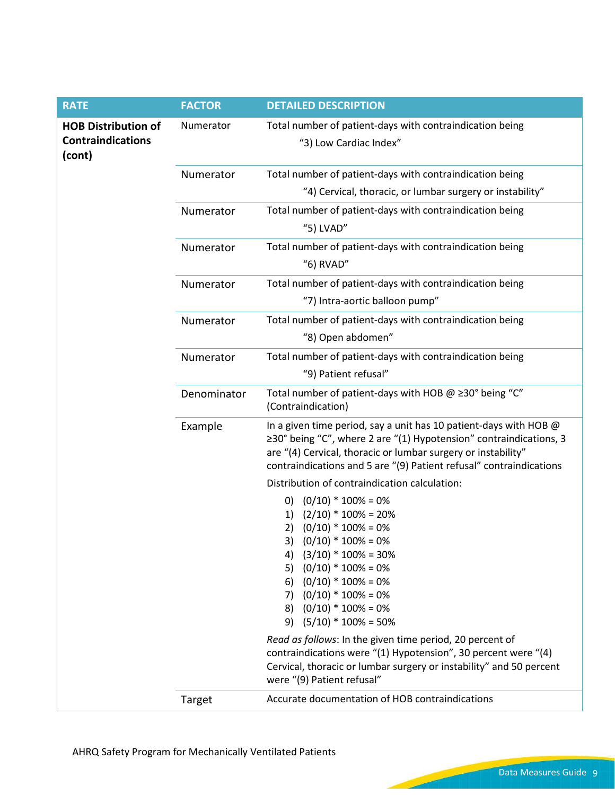| <b>RATE</b>                                                      | <b>FACTOR</b> | <b>DETAILED DESCRIPTION</b>                                                                                                                                                                                                                                                                                                                                                          |
|------------------------------------------------------------------|---------------|--------------------------------------------------------------------------------------------------------------------------------------------------------------------------------------------------------------------------------------------------------------------------------------------------------------------------------------------------------------------------------------|
| <b>HOB Distribution of</b><br><b>Contraindications</b><br>(cont) | Numerator     | Total number of patient-days with contraindication being<br>"3) Low Cardiac Index"                                                                                                                                                                                                                                                                                                   |
|                                                                  | Numerator     | Total number of patient-days with contraindication being                                                                                                                                                                                                                                                                                                                             |
|                                                                  |               | "4) Cervical, thoracic, or lumbar surgery or instability"                                                                                                                                                                                                                                                                                                                            |
|                                                                  | Numerator     | Total number of patient-days with contraindication being<br>"5) LVAD"                                                                                                                                                                                                                                                                                                                |
|                                                                  | Numerator     | Total number of patient-days with contraindication being<br>"6) RVAD"                                                                                                                                                                                                                                                                                                                |
|                                                                  | Numerator     | Total number of patient-days with contraindication being<br>"7) Intra-aortic balloon pump"                                                                                                                                                                                                                                                                                           |
|                                                                  | Numerator     | Total number of patient-days with contraindication being<br>"8) Open abdomen"                                                                                                                                                                                                                                                                                                        |
|                                                                  | Numerator     | Total number of patient-days with contraindication being<br>"9) Patient refusal"                                                                                                                                                                                                                                                                                                     |
|                                                                  | Denominator   | Total number of patient-days with HOB $@230°$ being "C"<br>(Contraindication)                                                                                                                                                                                                                                                                                                        |
|                                                                  | Example       | In a given time period, say a unit has 10 patient-days with HOB @<br>$\geq$ 30° being "C", where 2 are "(1) Hypotension" contraindications, 3<br>are "(4) Cervical, thoracic or lumbar surgery or instability"<br>contraindications and 5 are "(9) Patient refusal" contraindications                                                                                                |
|                                                                  |               | Distribution of contraindication calculation:                                                                                                                                                                                                                                                                                                                                        |
|                                                                  |               | $(0/10) * 100\% = 0\%$<br>$\Omega$<br>$(2/10) * 100\% = 20\%$<br>1)<br>$(0/10) * 100% = 0%$<br>2)<br>$(0/10) * 100% = 0%$<br>3)<br>4) $(3/10) * 100\% = 30\%$<br>$(0/10) * 100\% = 0\%$<br>5)<br>$(0/10) * 100\% = 0\%$<br>6)<br>7) $(0/10) * 100\% = 0\%$<br>8) $(0/10) * 100\% = 0\%$<br>$(5/10) * 100\% = 50\%$<br>9)<br>Read as follows: In the given time period, 20 percent of |
|                                                                  |               | contraindications were "(1) Hypotension", 30 percent were "(4)<br>Cervical, thoracic or lumbar surgery or instability" and 50 percent<br>were "(9) Patient refusal"                                                                                                                                                                                                                  |
|                                                                  | Target        | Accurate documentation of HOB contraindications                                                                                                                                                                                                                                                                                                                                      |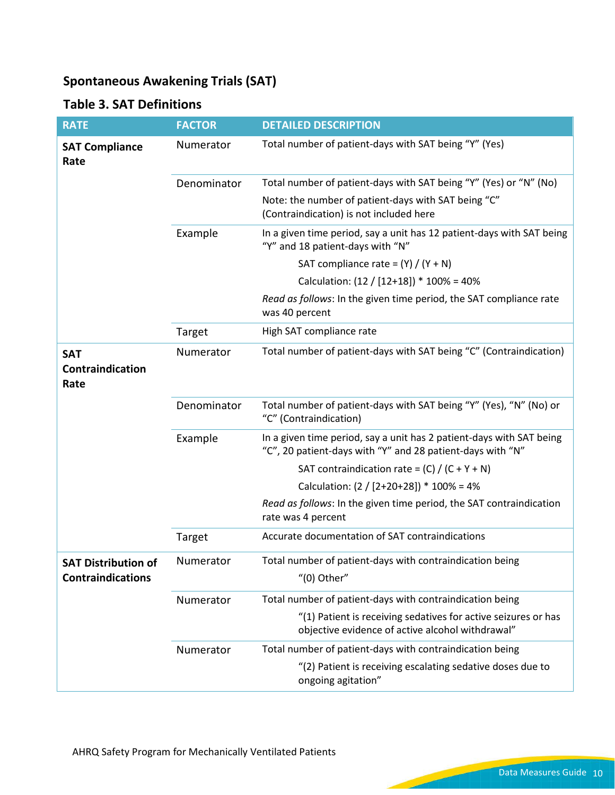## **Spontaneous Awakening Trials (SAT)**

## **Table 3. SAT Definitions**

| <b>RATE</b>                                            | <b>FACTOR</b> | <b>DETAILED DESCRIPTION</b>                                                                                                        |
|--------------------------------------------------------|---------------|------------------------------------------------------------------------------------------------------------------------------------|
| <b>SAT Compliance</b><br>Rate                          | Numerator     | Total number of patient-days with SAT being "Y" (Yes)                                                                              |
|                                                        | Denominator   | Total number of patient-days with SAT being "Y" (Yes) or "N" (No)                                                                  |
|                                                        |               | Note: the number of patient-days with SAT being "C"<br>(Contraindication) is not included here                                     |
|                                                        | Example       | In a given time period, say a unit has 12 patient-days with SAT being<br>"Y" and 18 patient-days with "N"                          |
|                                                        |               | SAT compliance rate = $(Y) / (Y + N)$                                                                                              |
|                                                        |               | Calculation: (12 / [12+18]) * 100% = 40%                                                                                           |
|                                                        |               | Read as follows: In the given time period, the SAT compliance rate<br>was 40 percent                                               |
|                                                        | Target        | High SAT compliance rate                                                                                                           |
| <b>SAT</b><br>Contraindication<br>Rate                 | Numerator     | Total number of patient-days with SAT being "C" (Contraindication)                                                                 |
|                                                        | Denominator   | Total number of patient-days with SAT being "Y" (Yes), "N" (No) or<br>"C" (Contraindication)                                       |
|                                                        | Example       | In a given time period, say a unit has 2 patient-days with SAT being<br>"C", 20 patient-days with "Y" and 28 patient-days with "N" |
|                                                        |               | SAT contraindication rate = $(C) / (C + Y + N)$                                                                                    |
|                                                        |               | Calculation: $(2 / [2+20+28])$ * 100% = 4%                                                                                         |
|                                                        |               | Read as follows: In the given time period, the SAT contraindication<br>rate was 4 percent                                          |
|                                                        | Target        | Accurate documentation of SAT contraindications                                                                                    |
| <b>SAT Distribution of</b><br><b>Contraindications</b> | Numerator     | Total number of patient-days with contraindication being<br>$''(0)$ Other"                                                         |
|                                                        | Numerator     | Total number of patient-days with contraindication being                                                                           |
|                                                        |               | "(1) Patient is receiving sedatives for active seizures or has<br>objective evidence of active alcohol withdrawal"                 |
|                                                        | Numerator     | Total number of patient-days with contraindication being                                                                           |
|                                                        |               | "(2) Patient is receiving escalating sedative doses due to<br>ongoing agitation"                                                   |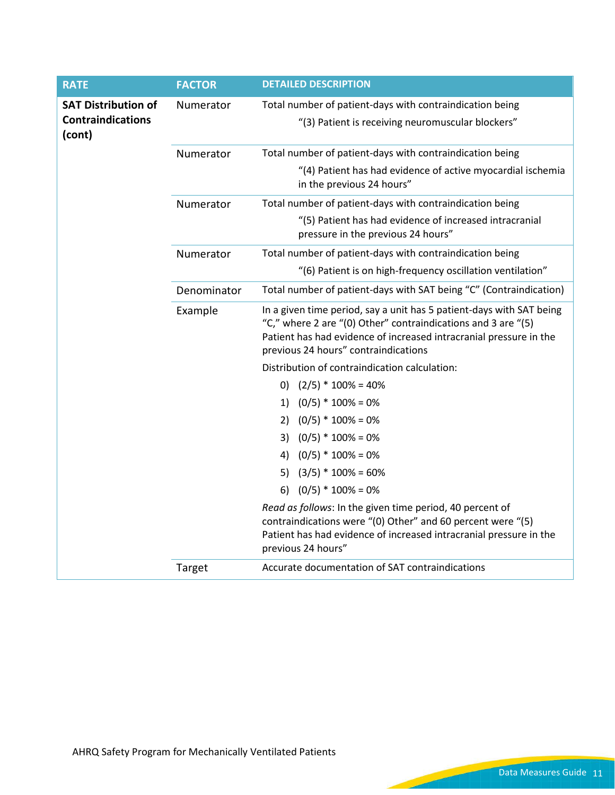| <b>RATE</b>                        | <b>FACTOR</b> | <b>DETAILED DESCRIPTION</b>                                                                                                                                                                                                                         |
|------------------------------------|---------------|-----------------------------------------------------------------------------------------------------------------------------------------------------------------------------------------------------------------------------------------------------|
| <b>SAT Distribution of</b>         | Numerator     | Total number of patient-days with contraindication being                                                                                                                                                                                            |
| <b>Contraindications</b><br>(cont) |               | "(3) Patient is receiving neuromuscular blockers"                                                                                                                                                                                                   |
|                                    | Numerator     | Total number of patient-days with contraindication being                                                                                                                                                                                            |
|                                    |               | "(4) Patient has had evidence of active myocardial ischemia<br>in the previous 24 hours"                                                                                                                                                            |
|                                    | Numerator     | Total number of patient-days with contraindication being                                                                                                                                                                                            |
|                                    |               | "(5) Patient has had evidence of increased intracranial<br>pressure in the previous 24 hours"                                                                                                                                                       |
|                                    | Numerator     | Total number of patient-days with contraindication being                                                                                                                                                                                            |
|                                    |               | "(6) Patient is on high-frequency oscillation ventilation"                                                                                                                                                                                          |
|                                    | Denominator   | Total number of patient-days with SAT being "C" (Contraindication)                                                                                                                                                                                  |
|                                    | Example       | In a given time period, say a unit has 5 patient-days with SAT being<br>"C," where 2 are "(0) Other" contraindications and 3 are "(5)<br>Patient has had evidence of increased intracranial pressure in the<br>previous 24 hours" contraindications |
|                                    |               | Distribution of contraindication calculation:                                                                                                                                                                                                       |
|                                    |               | 0) $(2/5) * 100\% = 40\%$                                                                                                                                                                                                                           |
|                                    |               | $(0/5) * 100\% = 0\%$<br>1)                                                                                                                                                                                                                         |
|                                    |               | $(0/5) * 100\% = 0\%$<br>2)                                                                                                                                                                                                                         |
|                                    |               | $(0/5) * 100\% = 0\%$<br>3)                                                                                                                                                                                                                         |
|                                    |               | $(0/5) * 100% = 0%$<br>4)                                                                                                                                                                                                                           |
|                                    |               | $(3/5) * 100\% = 60\%$<br>5)                                                                                                                                                                                                                        |
|                                    |               | $(0/5) * 100\% = 0\%$<br>6)                                                                                                                                                                                                                         |
|                                    |               | Read as follows: In the given time period, 40 percent of<br>contraindications were "(0) Other" and 60 percent were "(5)<br>Patient has had evidence of increased intracranial pressure in the<br>previous 24 hours"                                 |
|                                    | Target        | Accurate documentation of SAT contraindications                                                                                                                                                                                                     |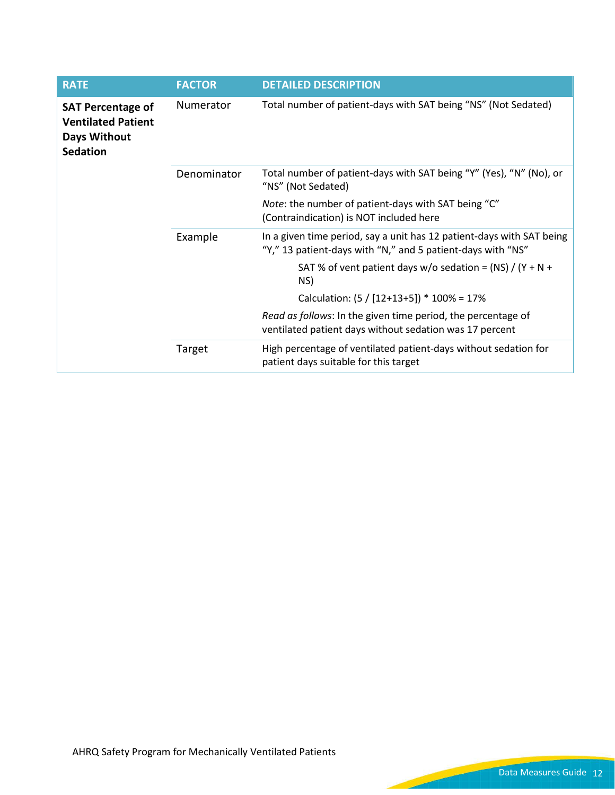| <b>RATE</b>                                                                              | <b>FACTOR</b> | <b>DETAILED DESCRIPTION</b>                                                                                                          |
|------------------------------------------------------------------------------------------|---------------|--------------------------------------------------------------------------------------------------------------------------------------|
| <b>SAT Percentage of</b><br><b>Ventilated Patient</b><br>Days Without<br><b>Sedation</b> | Numerator     | Total number of patient-days with SAT being "NS" (Not Sedated)                                                                       |
|                                                                                          | Denominator   | Total number of patient-days with SAT being "Y" (Yes), "N" (No), or<br>"NS" (Not Sedated)                                            |
|                                                                                          |               | Note: the number of patient-days with SAT being "C"<br>(Contraindication) is NOT included here                                       |
|                                                                                          | Example       | In a given time period, say a unit has 12 patient-days with SAT being<br>"Y," 13 patient-days with "N," and 5 patient-days with "NS" |
|                                                                                          |               | SAT % of vent patient days $w/o$ sedation = (NS) / (Y + N +<br>NS)                                                                   |
|                                                                                          |               | Calculation: $(5 / [12+13+5])$ * 100% = 17%                                                                                          |
|                                                                                          |               | Read as follows: In the given time period, the percentage of<br>ventilated patient days without sedation was 17 percent              |
|                                                                                          | Target        | High percentage of ventilated patient-days without sedation for<br>patient days suitable for this target                             |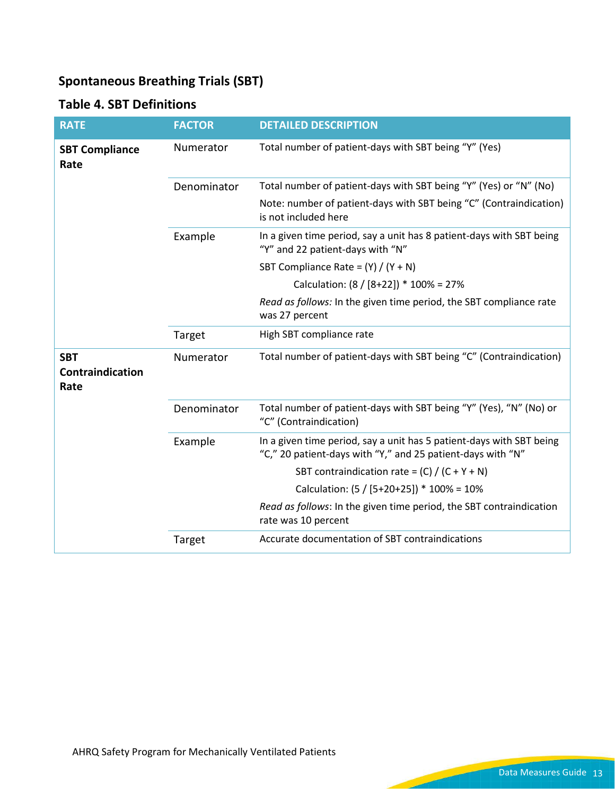## **Spontaneous Breathing Trials (SBT)**

### **Table 4. SBT Definitions**

| <b>RATE</b>                                   | <b>FACTOR</b> | <b>DETAILED DESCRIPTION</b>                                                                                                         |
|-----------------------------------------------|---------------|-------------------------------------------------------------------------------------------------------------------------------------|
| <b>SBT Compliance</b><br>Rate                 | Numerator     | Total number of patient-days with SBT being "Y" (Yes)                                                                               |
|                                               | Denominator   | Total number of patient-days with SBT being "Y" (Yes) or "N" (No)                                                                   |
|                                               |               | Note: number of patient-days with SBT being "C" (Contraindication)<br>is not included here                                          |
|                                               | Example       | In a given time period, say a unit has 8 patient-days with SBT being<br>"Y" and 22 patient-days with "N"                            |
|                                               |               | SBT Compliance Rate = $(Y) / (Y + N)$                                                                                               |
|                                               |               | Calculation: (8 / [8+22]) * 100% = 27%                                                                                              |
|                                               |               | Read as follows: In the given time period, the SBT compliance rate<br>was 27 percent                                                |
|                                               | Target        | High SBT compliance rate                                                                                                            |
| <b>SBT</b><br><b>Contraindication</b><br>Rate | Numerator     | Total number of patient-days with SBT being "C" (Contraindication)                                                                  |
|                                               | Denominator   | Total number of patient-days with SBT being "Y" (Yes), "N" (No) or<br>"C" (Contraindication)                                        |
|                                               | Example       | In a given time period, say a unit has 5 patient-days with SBT being<br>"C," 20 patient-days with "Y," and 25 patient-days with "N" |
|                                               |               | SBT contraindication rate = $(C) / (C + Y + N)$                                                                                     |
|                                               |               | Calculation: (5 / [5+20+25]) * 100% = 10%                                                                                           |
|                                               |               | Read as follows: In the given time period, the SBT contraindication<br>rate was 10 percent                                          |
|                                               | Target        | Accurate documentation of SBT contraindications                                                                                     |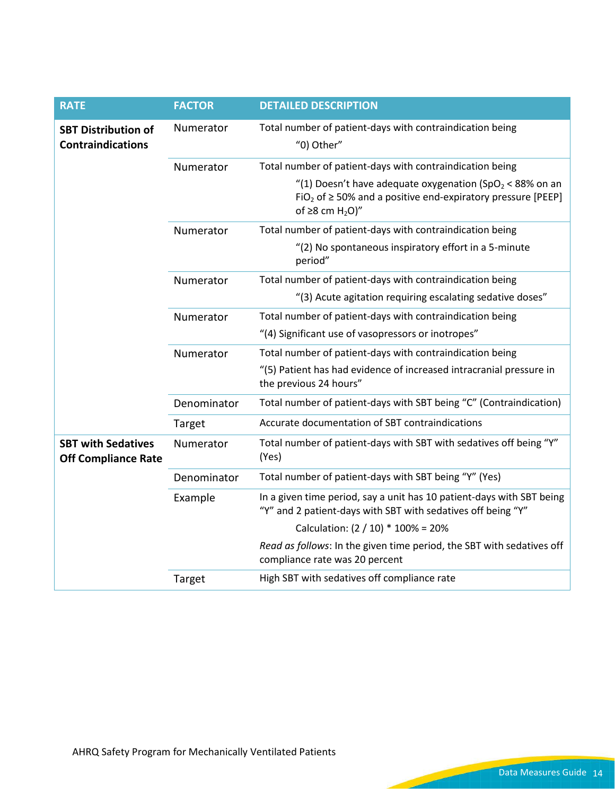<span id="page-13-0"></span>

| <b>RATE</b>                                             | <b>FACTOR</b> | <b>DETAILED DESCRIPTION</b>                                                                                                                                                               |
|---------------------------------------------------------|---------------|-------------------------------------------------------------------------------------------------------------------------------------------------------------------------------------------|
| <b>SBT Distribution of</b><br><b>Contraindications</b>  | Numerator     | Total number of patient-days with contraindication being<br>"0) Other"                                                                                                                    |
|                                                         | Numerator     | Total number of patient-days with contraindication being                                                                                                                                  |
|                                                         |               | "(1) Doesn't have adequate oxygenation (SpO <sub>2</sub> < 88% on an<br>FiO <sub>2</sub> of $\geq$ 50% and a positive end-expiratory pressure [PEEP]<br>of $\geq$ 8 cm H <sub>2</sub> O)" |
|                                                         | Numerator     | Total number of patient-days with contraindication being                                                                                                                                  |
|                                                         |               | "(2) No spontaneous inspiratory effort in a 5-minute<br>period"                                                                                                                           |
|                                                         | Numerator     | Total number of patient-days with contraindication being                                                                                                                                  |
|                                                         |               | "(3) Acute agitation requiring escalating sedative doses"                                                                                                                                 |
|                                                         | Numerator     | Total number of patient-days with contraindication being                                                                                                                                  |
|                                                         |               | "(4) Significant use of vasopressors or inotropes"                                                                                                                                        |
|                                                         | Numerator     | Total number of patient-days with contraindication being                                                                                                                                  |
|                                                         |               | "(5) Patient has had evidence of increased intracranial pressure in<br>the previous 24 hours"                                                                                             |
|                                                         | Denominator   | Total number of patient-days with SBT being "C" (Contraindication)                                                                                                                        |
|                                                         | Target        | Accurate documentation of SBT contraindications                                                                                                                                           |
| <b>SBT with Sedatives</b><br><b>Off Compliance Rate</b> | Numerator     | Total number of patient-days with SBT with sedatives off being "Y"<br>(Yes)                                                                                                               |
|                                                         | Denominator   | Total number of patient-days with SBT being "Y" (Yes)                                                                                                                                     |
|                                                         | Example       | In a given time period, say a unit has 10 patient-days with SBT being<br>"Y" and 2 patient-days with SBT with sedatives off being "Y"                                                     |
|                                                         |               | Calculation: $(2 / 10) * 100\% = 20\%$                                                                                                                                                    |
|                                                         |               | Read as follows: In the given time period, the SBT with sedatives off<br>compliance rate was 20 percent                                                                                   |
|                                                         | Target        | High SBT with sedatives off compliance rate                                                                                                                                               |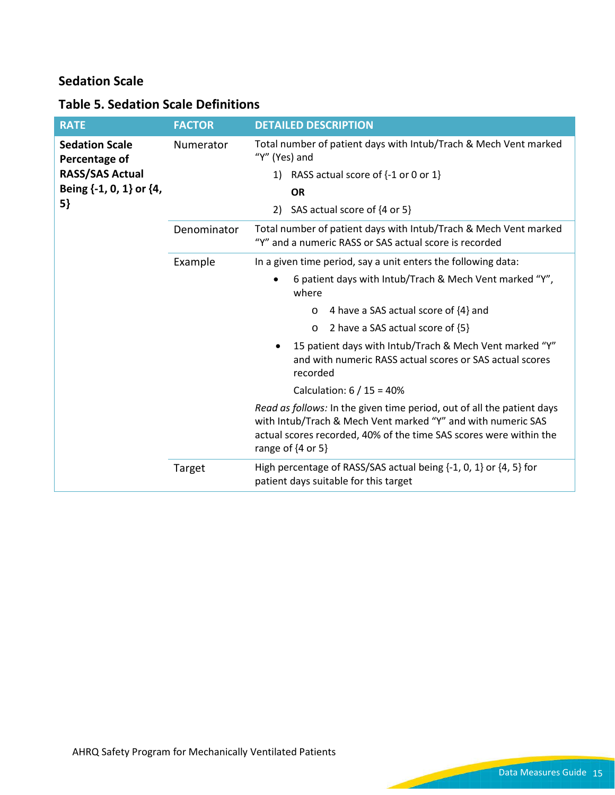## **Sedation Scale**

## **Table 5. Sedation Scale Definitions**

| <b>RATE</b>                            | <b>FACTOR</b> | <b>DETAILED DESCRIPTION</b>                                                                                                                                                                                                              |
|----------------------------------------|---------------|------------------------------------------------------------------------------------------------------------------------------------------------------------------------------------------------------------------------------------------|
| <b>Sedation Scale</b><br>Percentage of | Numerator     | Total number of patient days with Intub/Trach & Mech Vent marked<br>"Y" (Yes) and                                                                                                                                                        |
| <b>RASS/SAS Actual</b>                 |               | RASS actual score of {-1 or 0 or 1}<br>1)                                                                                                                                                                                                |
| Being {-1, 0, 1} or {4,                |               | <b>OR</b>                                                                                                                                                                                                                                |
| 5}                                     |               | SAS actual score of {4 or 5}<br>2)                                                                                                                                                                                                       |
|                                        | Denominator   | Total number of patient days with Intub/Trach & Mech Vent marked<br>"Y" and a numeric RASS or SAS actual score is recorded                                                                                                               |
|                                        | Example       | In a given time period, say a unit enters the following data:                                                                                                                                                                            |
|                                        |               | 6 patient days with Intub/Trach & Mech Vent marked "Y",<br>where                                                                                                                                                                         |
|                                        |               | 4 have a SAS actual score of {4} and<br>$\circ$                                                                                                                                                                                          |
|                                        |               | 2 have a SAS actual score of {5}<br>$\circ$                                                                                                                                                                                              |
|                                        |               | 15 patient days with Intub/Trach & Mech Vent marked "Y"<br>and with numeric RASS actual scores or SAS actual scores<br>recorded                                                                                                          |
|                                        |               | Calculation: $6/15 = 40%$                                                                                                                                                                                                                |
|                                        |               | Read as follows: In the given time period, out of all the patient days<br>with Intub/Trach & Mech Vent marked "Y" and with numeric SAS<br>actual scores recorded, 40% of the time SAS scores were within the<br>range of $\{4$ or 5 $\}$ |
|                                        | Target        | High percentage of RASS/SAS actual being $\{-1, 0, 1\}$ or $\{4, 5\}$ for<br>patient days suitable for this target                                                                                                                       |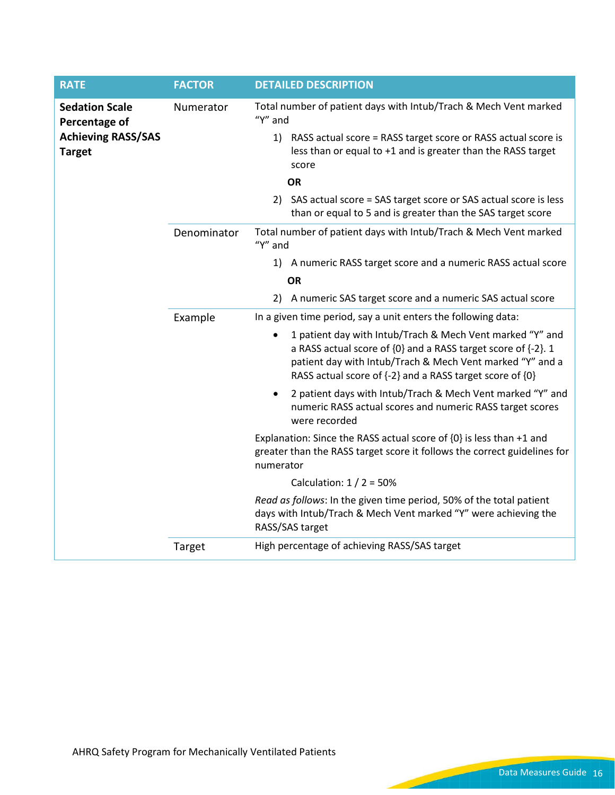| <b>RATE</b>                                                                          | <b>FACTOR</b> | <b>DETAILED DESCRIPTION</b>                                                                                                                                                                                                                         |
|--------------------------------------------------------------------------------------|---------------|-----------------------------------------------------------------------------------------------------------------------------------------------------------------------------------------------------------------------------------------------------|
| <b>Sedation Scale</b><br>Percentage of<br><b>Achieving RASS/SAS</b><br><b>Target</b> | Numerator     | Total number of patient days with Intub/Trach & Mech Vent marked<br>" $Y$ " and                                                                                                                                                                     |
|                                                                                      |               | 1) RASS actual score = RASS target score or RASS actual score is<br>less than or equal to +1 and is greater than the RASS target<br>score                                                                                                           |
|                                                                                      |               | <b>OR</b>                                                                                                                                                                                                                                           |
|                                                                                      |               | 2) SAS actual score = SAS target score or SAS actual score is less<br>than or equal to 5 and is greater than the SAS target score                                                                                                                   |
|                                                                                      | Denominator   | Total number of patient days with Intub/Trach & Mech Vent marked<br>" $Y$ " and                                                                                                                                                                     |
|                                                                                      |               | 1) A numeric RASS target score and a numeric RASS actual score                                                                                                                                                                                      |
|                                                                                      |               | <b>OR</b>                                                                                                                                                                                                                                           |
|                                                                                      |               | 2) A numeric SAS target score and a numeric SAS actual score                                                                                                                                                                                        |
|                                                                                      | Example       | In a given time period, say a unit enters the following data:                                                                                                                                                                                       |
|                                                                                      |               | 1 patient day with Intub/Trach & Mech Vent marked "Y" and<br>a RASS actual score of {0} and a RASS target score of {-2}. 1<br>patient day with Intub/Trach & Mech Vent marked "Y" and a<br>RASS actual score of {-2} and a RASS target score of {0} |
|                                                                                      |               | 2 patient days with Intub/Trach & Mech Vent marked "Y" and<br>$\bullet$<br>numeric RASS actual scores and numeric RASS target scores<br>were recorded                                                                                               |
|                                                                                      |               | Explanation: Since the RASS actual score of {0} is less than +1 and<br>greater than the RASS target score it follows the correct guidelines for<br>numerator                                                                                        |
|                                                                                      |               | Calculation: $1/2 = 50\%$                                                                                                                                                                                                                           |
|                                                                                      |               | Read as follows: In the given time period, 50% of the total patient<br>days with Intub/Trach & Mech Vent marked "Y" were achieving the<br>RASS/SAS target                                                                                           |
|                                                                                      | Target        | High percentage of achieving RASS/SAS target                                                                                                                                                                                                        |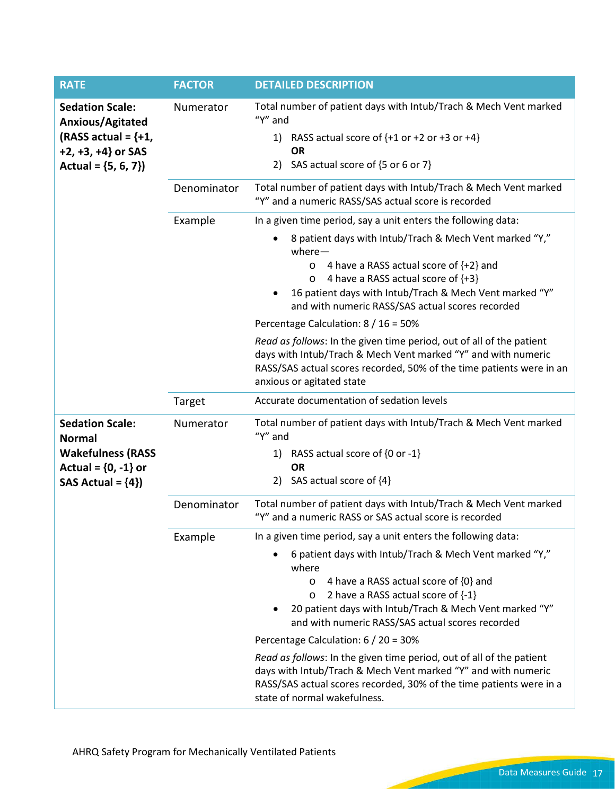| <b>RATE</b>                                                                                   | <b>FACTOR</b> | <b>DETAILED DESCRIPTION</b>                                                                                                                                                                                                                                                          |
|-----------------------------------------------------------------------------------------------|---------------|--------------------------------------------------------------------------------------------------------------------------------------------------------------------------------------------------------------------------------------------------------------------------------------|
| <b>Sedation Scale:</b><br>Anxious/Agitated<br>(RASS actual = $\{+1,$<br>$+2, +3, +4$ } or SAS | Numerator     | Total number of patient days with Intub/Trach & Mech Vent marked<br>"Y" and<br>1) RASS actual score of $\{+1$ or $+2$ or $+3$ or $+4\}$<br><b>OR</b><br>2) SAS actual score of {5 or 6 or 7}                                                                                         |
| Actual = $\{5, 6, 7\}$                                                                        |               |                                                                                                                                                                                                                                                                                      |
|                                                                                               | Denominator   | Total number of patient days with Intub/Trach & Mech Vent marked<br>"Y" and a numeric RASS/SAS actual score is recorded                                                                                                                                                              |
|                                                                                               | Example       | In a given time period, say a unit enters the following data:                                                                                                                                                                                                                        |
|                                                                                               |               | 8 patient days with Intub/Trach & Mech Vent marked "Y,"<br>$where -$<br>o 4 have a RASS actual score of $\{+2\}$ and<br>4 have a RASS actual score of {+3}<br>$\circ$<br>16 patient days with Intub/Trach & Mech Vent marked "Y"<br>٠                                                |
|                                                                                               |               | and with numeric RASS/SAS actual scores recorded                                                                                                                                                                                                                                     |
|                                                                                               |               | Percentage Calculation: 8 / 16 = 50%                                                                                                                                                                                                                                                 |
|                                                                                               |               | Read as follows: In the given time period, out of all of the patient<br>days with Intub/Trach & Mech Vent marked "Y" and with numeric<br>RASS/SAS actual scores recorded, 50% of the time patients were in an<br>anxious or agitated state                                           |
|                                                                                               | Target        | Accurate documentation of sedation levels                                                                                                                                                                                                                                            |
| <b>Sedation Scale:</b><br><b>Normal</b><br><b>Wakefulness (RASS</b>                           | Numerator     | Total number of patient days with Intub/Trach & Mech Vent marked<br>"Y" and<br>1) RASS actual score of {0 or -1}                                                                                                                                                                     |
| Actual = ${0, -1}$ or                                                                         |               | <b>OR</b>                                                                                                                                                                                                                                                                            |
| SAS Actual = ${4}$                                                                            |               | 2) SAS actual score of {4}                                                                                                                                                                                                                                                           |
|                                                                                               | Denominator   | Total number of patient days with Intub/Trach & Mech Vent marked<br>"Y" and a numeric RASS or SAS actual score is recorded                                                                                                                                                           |
|                                                                                               | Example       | In a given time period, say a unit enters the following data:                                                                                                                                                                                                                        |
|                                                                                               |               | 6 patient days with Intub/Trach & Mech Vent marked "Y,"<br>where<br>4 have a RASS actual score of {0} and<br>$\circ$<br>2 have a RASS actual score of {-1}<br>$\circ$<br>20 patient days with Intub/Trach & Mech Vent marked "Y"<br>and with numeric RASS/SAS actual scores recorded |
|                                                                                               |               | Percentage Calculation: 6 / 20 = 30%                                                                                                                                                                                                                                                 |
|                                                                                               |               | Read as follows: In the given time period, out of all of the patient<br>days with Intub/Trach & Mech Vent marked "Y" and with numeric<br>RASS/SAS actual scores recorded, 30% of the time patients were in a<br>state of normal wakefulness.                                         |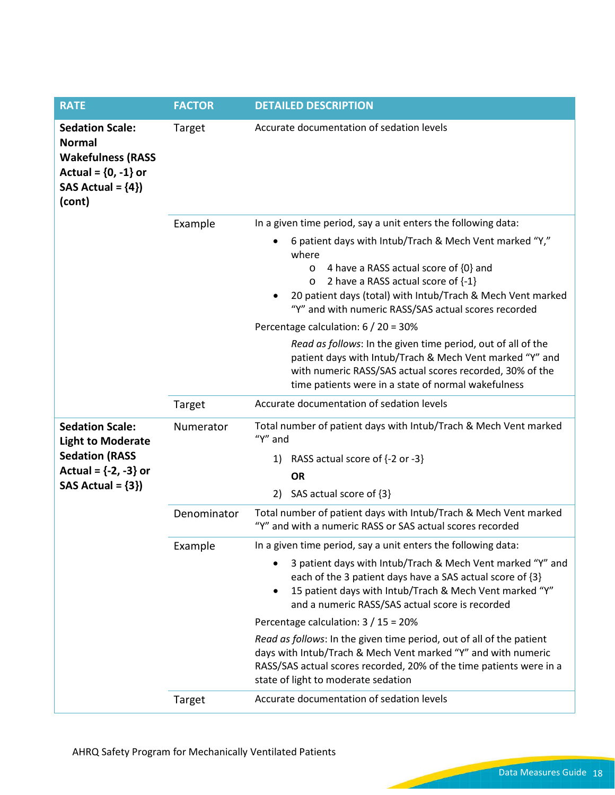| <b>RATE</b>                                                                                                                   | <b>FACTOR</b> | <b>DETAILED DESCRIPTION</b>                                                                                                                                                                                                                                                                                                                                                     |
|-------------------------------------------------------------------------------------------------------------------------------|---------------|---------------------------------------------------------------------------------------------------------------------------------------------------------------------------------------------------------------------------------------------------------------------------------------------------------------------------------------------------------------------------------|
| <b>Sedation Scale:</b><br><b>Normal</b><br><b>Wakefulness (RASS</b><br>Actual = ${0, -1}$ or<br>SAS Actual = ${4}$<br>(cont)  | Target        | Accurate documentation of sedation levels                                                                                                                                                                                                                                                                                                                                       |
|                                                                                                                               | Example       | In a given time period, say a unit enters the following data:                                                                                                                                                                                                                                                                                                                   |
|                                                                                                                               |               | 6 patient days with Intub/Trach & Mech Vent marked "Y,"<br>where<br>4 have a RASS actual score of {0} and<br>$\circ$<br>2 have a RASS actual score of $\{-1\}$<br>$\circ$<br>20 patient days (total) with Intub/Trach & Mech Vent marked<br>٠<br>"Y" and with numeric RASS/SAS actual scores recorded                                                                           |
|                                                                                                                               |               | Percentage calculation: 6 / 20 = 30%                                                                                                                                                                                                                                                                                                                                            |
|                                                                                                                               |               | Read as follows: In the given time period, out of all of the<br>patient days with Intub/Trach & Mech Vent marked "Y" and<br>with numeric RASS/SAS actual scores recorded, 30% of the<br>time patients were in a state of normal wakefulness                                                                                                                                     |
|                                                                                                                               | Target        | Accurate documentation of sedation levels                                                                                                                                                                                                                                                                                                                                       |
| <b>Sedation Scale:</b><br><b>Light to Moderate</b><br><b>Sedation (RASS</b><br>Actual = ${-2, -3}$ or<br>SAS Actual = $\{3\}$ | Numerator     | Total number of patient days with Intub/Trach & Mech Vent marked<br>" $Y$ " and<br>RASS actual score of {-2 or -3}<br>1)<br><b>OR</b><br>SAS actual score of {3}<br>2)                                                                                                                                                                                                          |
|                                                                                                                               | Denominator   | Total number of patient days with Intub/Trach & Mech Vent marked<br>"Y" and with a numeric RASS or SAS actual scores recorded                                                                                                                                                                                                                                                   |
|                                                                                                                               | Example       | In a given time period, say a unit enters the following data:                                                                                                                                                                                                                                                                                                                   |
|                                                                                                                               |               | 3 patient days with Intub/Trach & Mech Vent marked "Y" and<br>$\bullet$<br>each of the 3 patient days have a SAS actual score of {3}<br>15 patient days with Intub/Trach & Mech Vent marked "Y"<br>$\bullet$<br>and a numeric RASS/SAS actual score is recorded<br>Percentage calculation: 3 / 15 = 20%<br>Read as follows: In the given time period, out of all of the patient |
|                                                                                                                               |               | days with Intub/Trach & Mech Vent marked "Y" and with numeric<br>RASS/SAS actual scores recorded, 20% of the time patients were in a<br>state of light to moderate sedation                                                                                                                                                                                                     |
|                                                                                                                               | Target        | Accurate documentation of sedation levels                                                                                                                                                                                                                                                                                                                                       |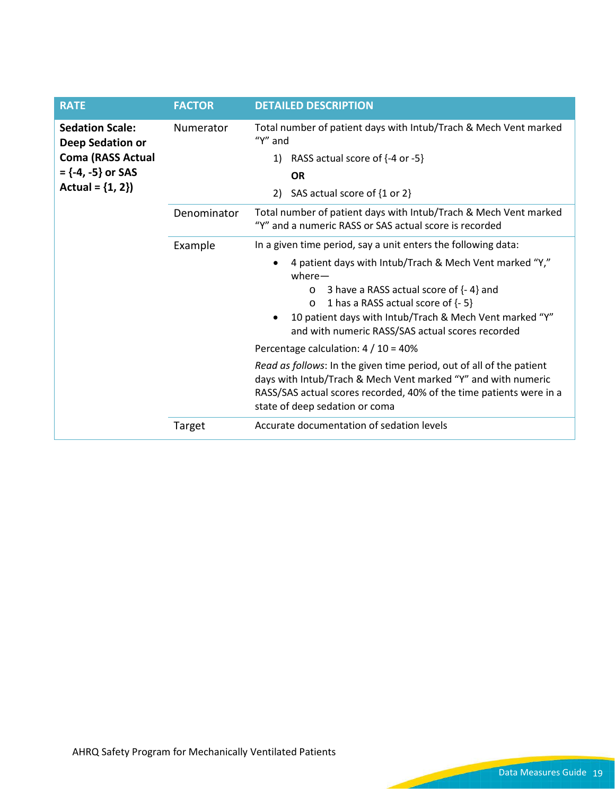<span id="page-18-0"></span>

| <b>RATE</b>                                                                                   | <b>FACTOR</b> | <b>DETAILED DESCRIPTION</b>                                                                                                                                                                                                                    |
|-----------------------------------------------------------------------------------------------|---------------|------------------------------------------------------------------------------------------------------------------------------------------------------------------------------------------------------------------------------------------------|
| <b>Sedation Scale:</b><br>Deep Sedation or<br><b>Coma (RASS Actual</b><br>$=$ {-4, -5} or SAS | Numerator     | Total number of patient days with Intub/Trach & Mech Vent marked<br>" $Y$ " and                                                                                                                                                                |
|                                                                                               |               | RASS actual score of {-4 or -5}<br>1)                                                                                                                                                                                                          |
|                                                                                               |               | <b>OR</b>                                                                                                                                                                                                                                      |
| Actual = $\{1, 2\}$                                                                           |               | SAS actual score of {1 or 2}<br>2)                                                                                                                                                                                                             |
|                                                                                               | Denominator   | Total number of patient days with Intub/Trach & Mech Vent marked<br>"Y" and a numeric RASS or SAS actual score is recorded                                                                                                                     |
|                                                                                               | Example       | In a given time period, say a unit enters the following data:                                                                                                                                                                                  |
|                                                                                               |               | 4 patient days with Intub/Trach & Mech Vent marked "Y,"<br>$\bullet$<br>$where -$                                                                                                                                                              |
|                                                                                               |               | 3 have a RASS actual score of {- 4} and<br>$\circ$                                                                                                                                                                                             |
|                                                                                               |               | 1 has a RASS actual score of {- 5}<br>$\circ$<br>10 patient days with Intub/Trach & Mech Vent marked "Y"                                                                                                                                       |
|                                                                                               |               | and with numeric RASS/SAS actual scores recorded                                                                                                                                                                                               |
|                                                                                               |               | Percentage calculation: $4/10 = 40\%$                                                                                                                                                                                                          |
|                                                                                               |               | Read as follows: In the given time period, out of all of the patient<br>days with Intub/Trach & Mech Vent marked "Y" and with numeric<br>RASS/SAS actual scores recorded, 40% of the time patients were in a<br>state of deep sedation or coma |
|                                                                                               | Target        | Accurate documentation of sedation levels                                                                                                                                                                                                      |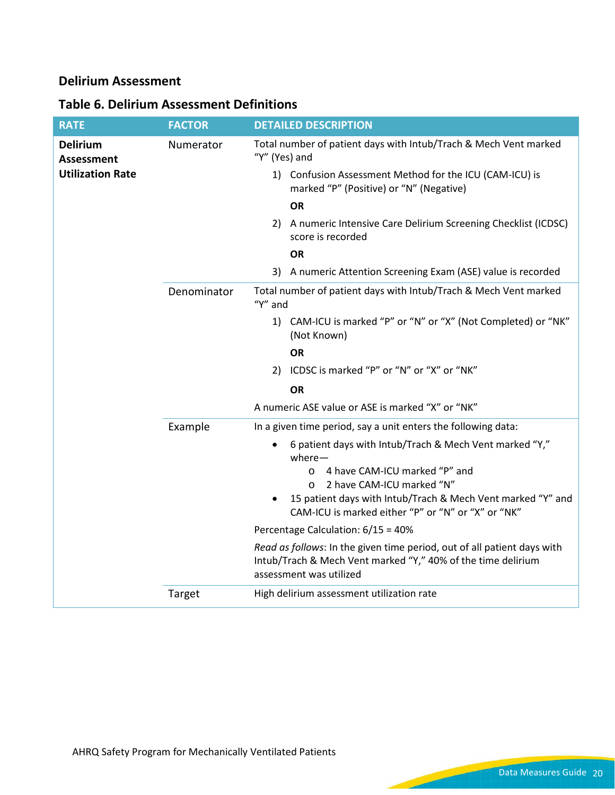### **Delirium Assessment**

## **Table 6. Delirium Assessment Definitions**

| <b>RATE</b>                          | <b>FACTOR</b> | <b>DETAILED DESCRIPTION</b>                                                                                                                                        |
|--------------------------------------|---------------|--------------------------------------------------------------------------------------------------------------------------------------------------------------------|
| <b>Delirium</b><br><b>Assessment</b> | Numerator     | Total number of patient days with Intub/Trach & Mech Vent marked<br>"Y" (Yes) and                                                                                  |
| <b>Utilization Rate</b>              |               | 1) Confusion Assessment Method for the ICU (CAM-ICU) is<br>marked "P" (Positive) or "N" (Negative)                                                                 |
|                                      |               | <b>OR</b>                                                                                                                                                          |
|                                      |               | 2) A numeric Intensive Care Delirium Screening Checklist (ICDSC)<br>score is recorded                                                                              |
|                                      |               | <b>OR</b>                                                                                                                                                          |
|                                      |               | 3) A numeric Attention Screening Exam (ASE) value is recorded                                                                                                      |
|                                      | Denominator   | Total number of patient days with Intub/Trach & Mech Vent marked<br>" $Y$ " and                                                                                    |
|                                      |               | 1) CAM-ICU is marked "P" or "N" or "X" (Not Completed) or "NK"<br>(Not Known)                                                                                      |
|                                      |               | ΟR                                                                                                                                                                 |
|                                      |               | 2) ICDSC is marked "P" or "N" or "X" or "NK"                                                                                                                       |
|                                      |               | <b>OR</b>                                                                                                                                                          |
|                                      |               | A numeric ASE value or ASE is marked "X" or "NK"                                                                                                                   |
|                                      | Example       | In a given time period, say a unit enters the following data:                                                                                                      |
|                                      |               | 6 patient days with Intub/Trach & Mech Vent marked "Y,"<br>٠<br>$where -$                                                                                          |
|                                      |               | 4 have CAM-ICU marked "P" and<br>$\circ$                                                                                                                           |
|                                      |               | 2 have CAM-ICU marked "N"<br>$\circ$<br>15 patient days with Intub/Trach & Mech Vent marked "Y" and                                                                |
|                                      |               | $\bullet$<br>CAM-ICU is marked either "P" or "N" or "X" or "NK"                                                                                                    |
|                                      |               | Percentage Calculation: 6/15 = 40%                                                                                                                                 |
|                                      |               | Read as follows: In the given time period, out of all patient days with<br>Intub/Trach & Mech Vent marked "Y," 40% of the time delirium<br>assessment was utilized |
|                                      | Target        | High delirium assessment utilization rate                                                                                                                          |

است ا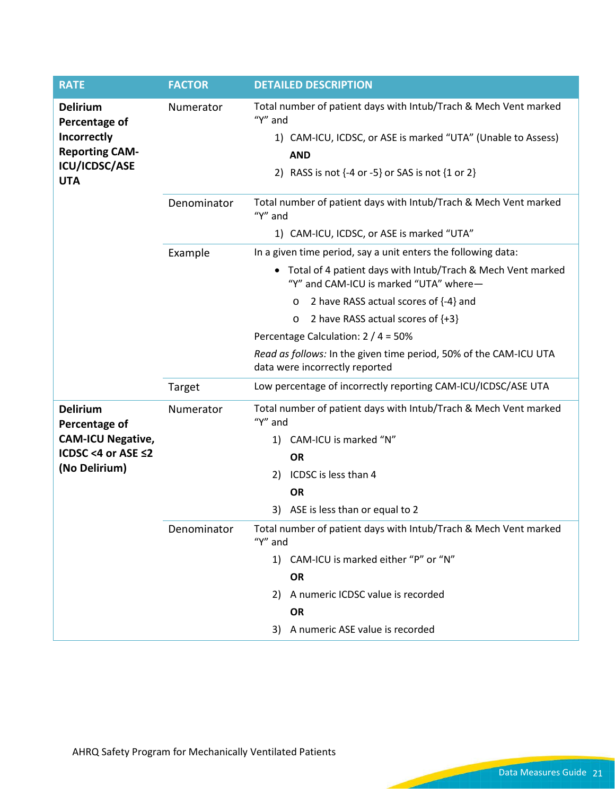| <b>RATE</b>                                                                     | <b>FACTOR</b> | <b>DETAILED DESCRIPTION</b>                                                                                                                 |
|---------------------------------------------------------------------------------|---------------|---------------------------------------------------------------------------------------------------------------------------------------------|
| <b>Delirium</b><br>Percentage of<br><b>Incorrectly</b><br><b>Reporting CAM-</b> | Numerator     | Total number of patient days with Intub/Trach & Mech Vent marked<br>"Y" and<br>1) CAM-ICU, ICDSC, or ASE is marked "UTA" (Unable to Assess) |
| ICU/ICDSC/ASE<br><b>UTA</b>                                                     |               | <b>AND</b><br>2) RASS is not $\{-4$ or $-5\}$ or SAS is not $\{1$ or $2\}$                                                                  |
|                                                                                 | Denominator   | Total number of patient days with Intub/Trach & Mech Vent marked<br>"Y" and                                                                 |
|                                                                                 |               | 1) CAM-ICU, ICDSC, or ASE is marked "UTA"                                                                                                   |
|                                                                                 | Example       | In a given time period, say a unit enters the following data:                                                                               |
|                                                                                 |               | Total of 4 patient days with Intub/Trach & Mech Vent marked<br>"Y" and CAM-ICU is marked "UTA" where-                                       |
|                                                                                 |               | 2 have RASS actual scores of {-4} and<br>$\circ$                                                                                            |
|                                                                                 |               | 2 have RASS actual scores of {+3}<br>O                                                                                                      |
|                                                                                 |               | Percentage Calculation: 2 / 4 = 50%                                                                                                         |
|                                                                                 |               | Read as follows: In the given time period, 50% of the CAM-ICU UTA<br>data were incorrectly reported                                         |
|                                                                                 | Target        | Low percentage of incorrectly reporting CAM-ICU/ICDSC/ASE UTA                                                                               |
| <b>Delirium</b><br>Percentage of                                                | Numerator     | Total number of patient days with Intub/Trach & Mech Vent marked<br>"Y" and                                                                 |
| <b>CAM-ICU Negative,</b>                                                        |               | CAM-ICU is marked "N"<br>1)                                                                                                                 |
| ICDSC <4 or ASE ≤2                                                              |               | <b>OR</b>                                                                                                                                   |
| (No Delirium)                                                                   |               | ICDSC is less than 4<br>2)                                                                                                                  |
|                                                                                 |               | <b>OR</b>                                                                                                                                   |
|                                                                                 |               | ASE is less than or equal to 2<br>3)                                                                                                        |
|                                                                                 | Denominator   | Total number of patient days with Intub/Trach & Mech Vent marked<br>"Y" and                                                                 |
|                                                                                 |               | 1) CAM-ICU is marked either "P" or "N"                                                                                                      |
|                                                                                 |               | <b>OR</b>                                                                                                                                   |
|                                                                                 |               | 2) A numeric ICDSC value is recorded                                                                                                        |
|                                                                                 |               | <b>OR</b>                                                                                                                                   |
|                                                                                 |               | 3) A numeric ASE value is recorded                                                                                                          |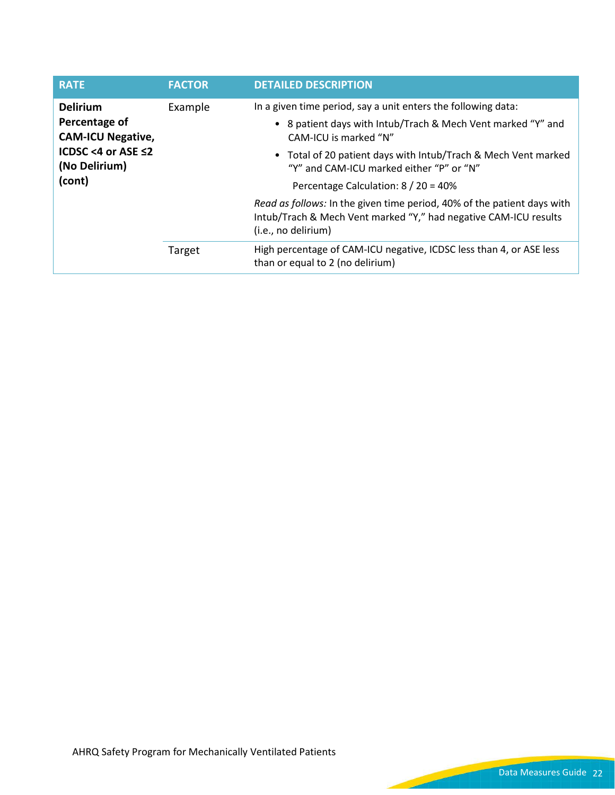| <b>RATE</b>                                                                                      | <b>FACTOR</b> | <b>DETAILED DESCRIPTION</b>                                                                                                                                        |
|--------------------------------------------------------------------------------------------------|---------------|--------------------------------------------------------------------------------------------------------------------------------------------------------------------|
| <b>Delirium</b>                                                                                  | Example       | In a given time period, say a unit enters the following data:                                                                                                      |
| Percentage of<br><b>CAM-ICU Negative,</b><br>ICDSC <4 or ASE $\leq$ 2<br>(No Delirium)<br>(cont) |               | • 8 patient days with Intub/Trach & Mech Vent marked "Y" and<br>CAM-ICU is marked "N"                                                                              |
|                                                                                                  |               | • Total of 20 patient days with Intub/Trach & Mech Vent marked<br>"Y" and CAM-ICU marked either "P" or "N"                                                         |
|                                                                                                  |               | Percentage Calculation: 8 / 20 = 40%                                                                                                                               |
|                                                                                                  |               | Read as follows: In the given time period, 40% of the patient days with<br>Intub/Trach & Mech Vent marked "Y," had negative CAM-ICU results<br>(i.e., no delirium) |
|                                                                                                  | Target        | High percentage of CAM-ICU negative, ICDSC less than 4, or ASE less<br>than or equal to 2 (no delirium)                                                            |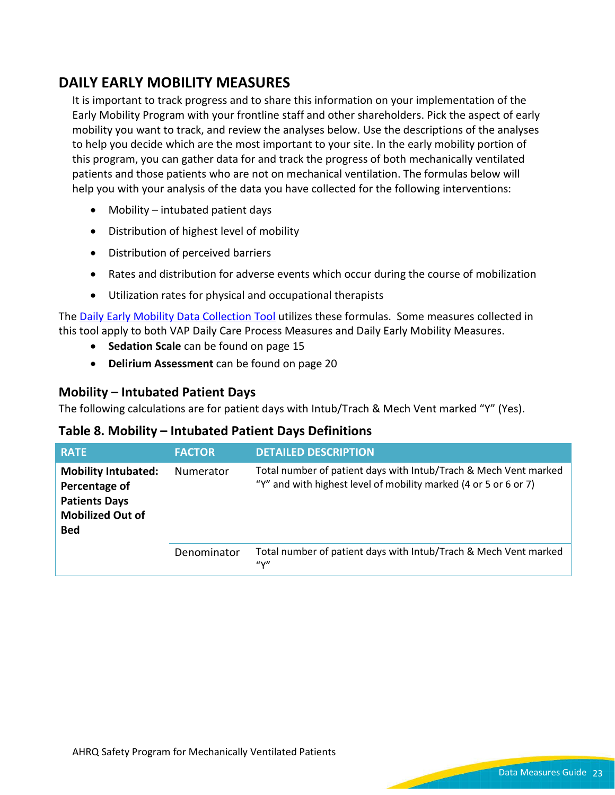## **DAILY EARLY MOBILITY MEASURES**

It is important to track progress and to share this information on your implementation of the Early Mobility Program with your frontline staff and other shareholders. Pick the aspect of early mobility you want to track, and review the analyses below. Use the descriptions of the analyses to help you decide which are the most important to your site. In the early mobility portion of this program, you can gather data for and track the progress of both mechanically ventilated patients and those patients who are not on mechanical ventilation. The formulas below will help you with your analysis of the data you have collected for the following interventions:

- Mobility intubated patient days
- Distribution of highest level of mobility
- Distribution of perceived barriers
- Rates and distribution for adverse events which occur during the course of mobilization
- Utilization rates for physical and occupational therapists

The [Daily Early Mobility Data Collection Tool](https://www.ahrq.gov/sites/default/files/wysiwyg/professionals/quality-patient-safety/hais/tools/mvp/modules/technical/early-mobility-tool.docx) utilizes these formulas. Some measures collected in this tool apply to both VAP Daily Care Process Measures and Daily Early Mobility Measures.

- **Sedation Scale** can be found on page [15](#page-13-0)
- **Delirium Assessment** can be found on page [20](#page-18-0)

#### **Mobility – Intubated Patient Days**

The following calculations are for patient days with Intub/Trach & Mech Vent marked "Y" (Yes).

#### **Table 8. Mobility – Intubated Patient Days Definitions**

| <b>RATE</b>                                                                                                  | <b>FACTOR</b>    | <b>DETAILED DESCRIPTION</b>                                                                                                          |
|--------------------------------------------------------------------------------------------------------------|------------------|--------------------------------------------------------------------------------------------------------------------------------------|
| <b>Mobility Intubated:</b><br>Percentage of<br><b>Patients Days</b><br><b>Mobilized Out of</b><br><b>Bed</b> | <b>Numerator</b> | Total number of patient days with Intub/Trach & Mech Vent marked<br>"Y" and with highest level of mobility marked (4 or 5 or 6 or 7) |
|                                                                                                              | Denominator      | Total number of patient days with Intub/Trach & Mech Vent marked<br>$^{\prime\prime}$                                                |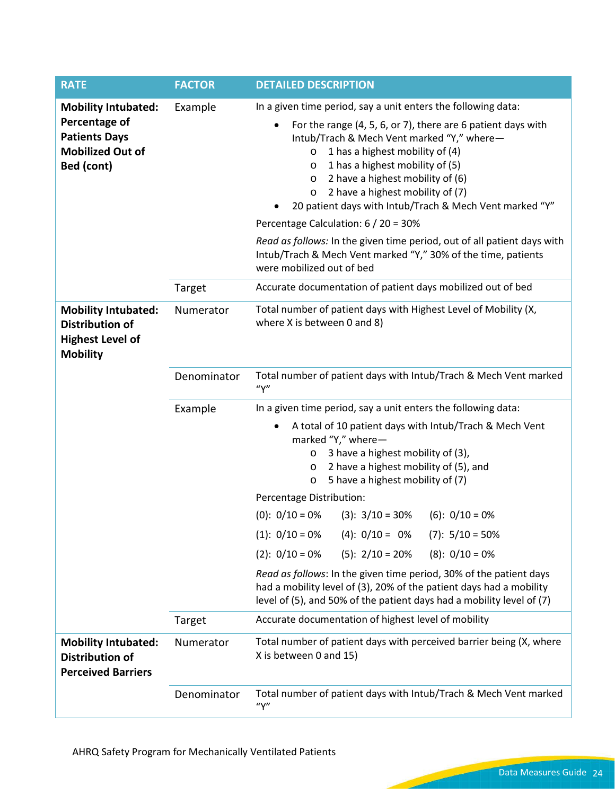| <b>RATE</b>                                                                                                  | <b>FACTOR</b> | <b>DETAILED DESCRIPTION</b>                                                                                                                                                                                                                                                                                                                                                                                                   |
|--------------------------------------------------------------------------------------------------------------|---------------|-------------------------------------------------------------------------------------------------------------------------------------------------------------------------------------------------------------------------------------------------------------------------------------------------------------------------------------------------------------------------------------------------------------------------------|
| <b>Mobility Intubated:</b><br>Percentage of<br><b>Patients Days</b><br><b>Mobilized Out of</b><br>Bed (cont) | Example       | In a given time period, say a unit enters the following data:<br>For the range (4, 5, 6, or 7), there are 6 patient days with<br>Intub/Trach & Mech Vent marked "Y," where-<br>1 has a highest mobility of (4)<br>$\circ$<br>1 has a highest mobility of (5)<br>$\circ$<br>$\circ$ 2 have a highest mobility of (6)<br>2 have a highest mobility of (7)<br>$\circ$<br>20 patient days with Intub/Trach & Mech Vent marked "Y" |
|                                                                                                              |               | Percentage Calculation: 6 / 20 = 30%<br>Read as follows: In the given time period, out of all patient days with<br>Intub/Trach & Mech Vent marked "Y," 30% of the time, patients<br>were mobilized out of bed                                                                                                                                                                                                                 |
|                                                                                                              | Target        | Accurate documentation of patient days mobilized out of bed                                                                                                                                                                                                                                                                                                                                                                   |
| <b>Mobility Intubated:</b><br><b>Distribution of</b><br><b>Highest Level of</b><br><b>Mobility</b>           | Numerator     | Total number of patient days with Highest Level of Mobility (X,<br>where X is between 0 and 8)                                                                                                                                                                                                                                                                                                                                |
|                                                                                                              | Denominator   | Total number of patient days with Intub/Trach & Mech Vent marked<br>''Y''                                                                                                                                                                                                                                                                                                                                                     |
|                                                                                                              | Example       | In a given time period, say a unit enters the following data:                                                                                                                                                                                                                                                                                                                                                                 |
|                                                                                                              |               | A total of 10 patient days with Intub/Trach & Mech Vent<br>marked "Y," where-<br>3 have a highest mobility of (3),<br>O<br>2 have a highest mobility of (5), and<br>$\circ$<br>5 have a highest mobility of (7)<br>O                                                                                                                                                                                                          |
|                                                                                                              |               | Percentage Distribution:                                                                                                                                                                                                                                                                                                                                                                                                      |
|                                                                                                              |               | $(0): 0/10 = 0%$<br>$(3): 3/10 = 30\%$<br>$(6): 0/10 = 0%$                                                                                                                                                                                                                                                                                                                                                                    |
|                                                                                                              |               | $(4): 0/10 = 0\%$ (7): $5/10 = 50\%$<br>$(1): 0/10 = 0%$                                                                                                                                                                                                                                                                                                                                                                      |
|                                                                                                              |               | $(8): 0/10 = 0%$<br>$(2): 0/10 = 0%$<br>$(5): 2/10 = 20%$<br>Read as follows: In the given time period, 30% of the patient days<br>had a mobility level of (3), 20% of the patient days had a mobility<br>level of (5), and 50% of the patient days had a mobility level of (7)                                                                                                                                               |
|                                                                                                              | Target        | Accurate documentation of highest level of mobility                                                                                                                                                                                                                                                                                                                                                                           |
| <b>Mobility Intubated:</b><br><b>Distribution of</b><br><b>Perceived Barriers</b>                            | Numerator     | Total number of patient days with perceived barrier being (X, where<br>X is between 0 and 15)                                                                                                                                                                                                                                                                                                                                 |
|                                                                                                              | Denominator   | Total number of patient days with Intub/Trach & Mech Vent marked<br>''Y''                                                                                                                                                                                                                                                                                                                                                     |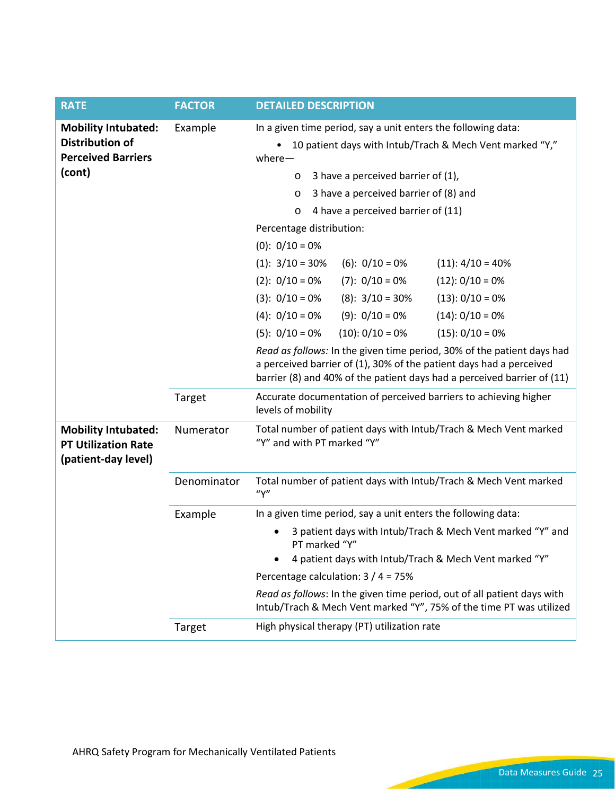| <b>RATE</b>                                                                                 | <b>FACTOR</b> | <b>DETAILED DESCRIPTION</b>                                                                                                                                                                                                                                                                                                                                                                                                                                                                                                                                         |
|---------------------------------------------------------------------------------------------|---------------|---------------------------------------------------------------------------------------------------------------------------------------------------------------------------------------------------------------------------------------------------------------------------------------------------------------------------------------------------------------------------------------------------------------------------------------------------------------------------------------------------------------------------------------------------------------------|
| <b>Mobility Intubated:</b><br><b>Distribution of</b><br><b>Perceived Barriers</b><br>(cont) | Example       | In a given time period, say a unit enters the following data:<br>10 patient days with Intub/Trach & Mech Vent marked "Y,"<br>$where -$<br>3 have a perceived barrier of (1),<br>O<br>3 have a perceived barrier of (8) and<br>$\circ$<br>4 have a perceived barrier of (11)<br>O<br>Percentage distribution:                                                                                                                                                                                                                                                        |
|                                                                                             |               | $(0): 0/10 = 0%$<br>$(1): 3/10 = 30%$<br>$(6): 0/10 = 0%$<br>$(11): 4/10 = 40\%$<br>$(7): 0/10 = 0%$<br>$(2): 0/10 = 0%$<br>$(12): 0/10 = 0%$<br>$(3): 0/10 = 0%$<br>$(8): 3/10 = 30\%$<br>$(13): 0/10 = 0%$<br>$(9): 0/10 = 0%$<br>$(14): 0/10 = 0%$<br>$(4): 0/10 = 0%$<br>$(10): 0/10 = 0%$<br>$(15): 0/10 = 0%$<br>$(5): 0/10 = 0%$<br>Read as follows: In the given time period, 30% of the patient days had<br>a perceived barrier of (1), 30% of the patient days had a perceived<br>barrier (8) and 40% of the patient days had a perceived barrier of (11) |
|                                                                                             | Target        | Accurate documentation of perceived barriers to achieving higher<br>levels of mobility                                                                                                                                                                                                                                                                                                                                                                                                                                                                              |
| <b>Mobility Intubated:</b><br><b>PT Utilization Rate</b><br>(patient-day level)             | Numerator     | Total number of patient days with Intub/Trach & Mech Vent marked<br>"Y" and with PT marked "Y"                                                                                                                                                                                                                                                                                                                                                                                                                                                                      |
|                                                                                             | Denominator   | Total number of patient days with Intub/Trach & Mech Vent marked<br>''Y''                                                                                                                                                                                                                                                                                                                                                                                                                                                                                           |
|                                                                                             | Example       | In a given time period, say a unit enters the following data:<br>3 patient days with Intub/Trach & Mech Vent marked "Y" and<br>PT marked "Y"<br>4 patient days with Intub/Trach & Mech Vent marked "Y"<br>Percentage calculation: $3/4 = 75%$<br>Read as follows: In the given time period, out of all patient days with<br>Intub/Trach & Mech Vent marked "Y", 75% of the time PT was utilized                                                                                                                                                                     |
|                                                                                             | Target        | High physical therapy (PT) utilization rate                                                                                                                                                                                                                                                                                                                                                                                                                                                                                                                         |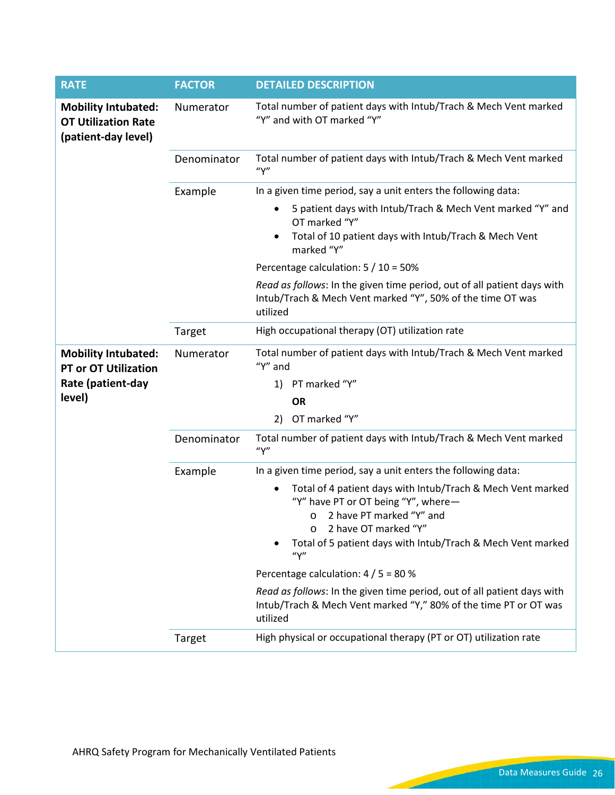| <b>RATE</b>                                                                     | <b>FACTOR</b> | <b>DETAILED DESCRIPTION</b>                                                                                                                                                                                                               |
|---------------------------------------------------------------------------------|---------------|-------------------------------------------------------------------------------------------------------------------------------------------------------------------------------------------------------------------------------------------|
| <b>Mobility Intubated:</b><br><b>OT Utilization Rate</b><br>(patient-day level) | Numerator     | Total number of patient days with Intub/Trach & Mech Vent marked<br>"Y" and with OT marked "Y"                                                                                                                                            |
|                                                                                 | Denominator   | Total number of patient days with Intub/Trach & Mech Vent marked<br>''Y''                                                                                                                                                                 |
|                                                                                 | Example       | In a given time period, say a unit enters the following data:                                                                                                                                                                             |
|                                                                                 |               | 5 patient days with Intub/Trach & Mech Vent marked "Y" and<br>OT marked "Y"                                                                                                                                                               |
|                                                                                 |               | Total of 10 patient days with Intub/Trach & Mech Vent<br>marked "Y"                                                                                                                                                                       |
|                                                                                 |               | Percentage calculation: 5 / 10 = 50%                                                                                                                                                                                                      |
|                                                                                 |               | Read as follows: In the given time period, out of all patient days with<br>Intub/Trach & Mech Vent marked "Y", 50% of the time OT was<br>utilized                                                                                         |
|                                                                                 | Target        | High occupational therapy (OT) utilization rate                                                                                                                                                                                           |
| <b>Mobility Intubated:</b><br><b>PT or OT Utilization</b>                       | Numerator     | Total number of patient days with Intub/Trach & Mech Vent marked<br>"Y" and                                                                                                                                                               |
| Rate (patient-day                                                               |               | 1) PT marked "Y"                                                                                                                                                                                                                          |
| level)                                                                          |               | <b>OR</b>                                                                                                                                                                                                                                 |
|                                                                                 |               | OT marked "Y"<br>2)                                                                                                                                                                                                                       |
|                                                                                 | Denominator   | Total number of patient days with Intub/Trach & Mech Vent marked<br>''Y''                                                                                                                                                                 |
|                                                                                 | Example       | In a given time period, say a unit enters the following data:                                                                                                                                                                             |
|                                                                                 |               | Total of 4 patient days with Intub/Trach & Mech Vent marked<br>"Y" have PT or OT being "Y", where-<br>2 have PT marked "Y" and<br>$\circ$<br>2 have OT marked "Y"<br>Total of 5 patient days with Intub/Trach & Mech Vent marked<br>''Y'' |
|                                                                                 |               | Percentage calculation: $4/5 = 80$ %                                                                                                                                                                                                      |
|                                                                                 |               | Read as follows: In the given time period, out of all patient days with<br>Intub/Trach & Mech Vent marked "Y," 80% of the time PT or OT was<br>utilized                                                                                   |
|                                                                                 | Target        | High physical or occupational therapy (PT or OT) utilization rate                                                                                                                                                                         |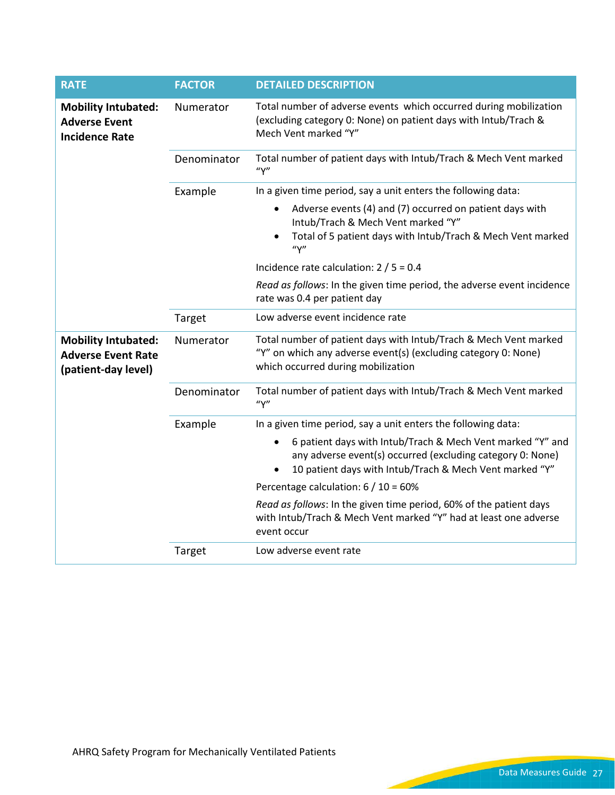| <b>RATE</b>                                                                    | <b>FACTOR</b> | <b>DETAILED DESCRIPTION</b>                                                                                                                                                         |
|--------------------------------------------------------------------------------|---------------|-------------------------------------------------------------------------------------------------------------------------------------------------------------------------------------|
| <b>Mobility Intubated:</b><br><b>Adverse Event</b><br><b>Incidence Rate</b>    | Numerator     | Total number of adverse events which occurred during mobilization<br>(excluding category 0: None) on patient days with Intub/Trach &<br>Mech Vent marked "Y"                        |
|                                                                                | Denominator   | Total number of patient days with Intub/Trach & Mech Vent marked<br>''Y''                                                                                                           |
|                                                                                | Example       | In a given time period, say a unit enters the following data:                                                                                                                       |
|                                                                                |               | Adverse events (4) and (7) occurred on patient days with<br>Intub/Trach & Mech Vent marked "Y"<br>Total of 5 patient days with Intub/Trach & Mech Vent marked<br>''Y''              |
|                                                                                |               | Incidence rate calculation: $2/5 = 0.4$                                                                                                                                             |
|                                                                                |               | Read as follows: In the given time period, the adverse event incidence<br>rate was 0.4 per patient day                                                                              |
|                                                                                | Target        | Low adverse event incidence rate                                                                                                                                                    |
| <b>Mobility Intubated:</b><br><b>Adverse Event Rate</b><br>(patient-day level) | Numerator     | Total number of patient days with Intub/Trach & Mech Vent marked<br>"Y" on which any adverse event(s) (excluding category 0: None)<br>which occurred during mobilization            |
|                                                                                | Denominator   | Total number of patient days with Intub/Trach & Mech Vent marked<br>''Y''                                                                                                           |
|                                                                                | Example       | In a given time period, say a unit enters the following data:                                                                                                                       |
|                                                                                |               | 6 patient days with Intub/Trach & Mech Vent marked "Y" and<br>any adverse event(s) occurred (excluding category 0: None)<br>10 patient days with Intub/Trach & Mech Vent marked "Y" |
|                                                                                |               | Percentage calculation: $6/10 = 60\%$                                                                                                                                               |
|                                                                                |               | Read as follows: In the given time period, 60% of the patient days<br>with Intub/Trach & Mech Vent marked "Y" had at least one adverse<br>event occur                               |
|                                                                                | Target        | Low adverse event rate                                                                                                                                                              |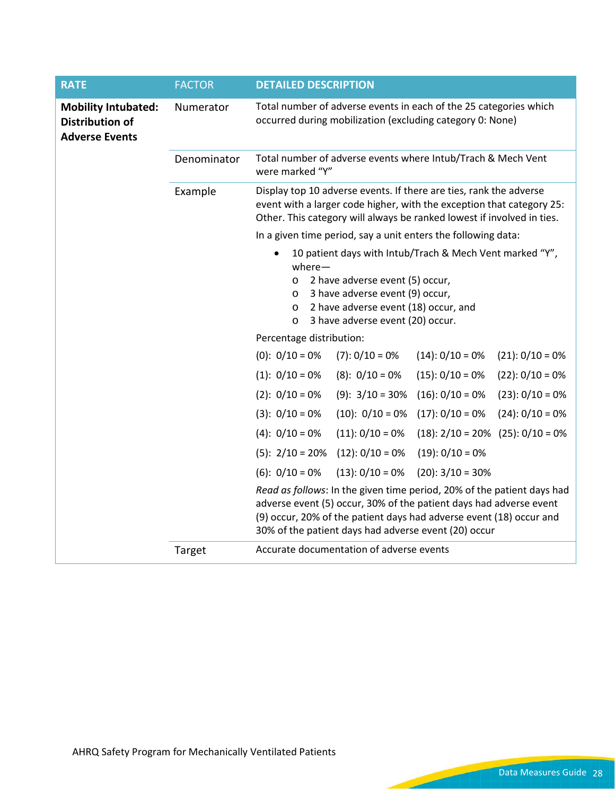| <b>RATE</b>                                                                   | <b>FACTOR</b> | <b>DETAILED DESCRIPTION</b>                                                                                                                                                                                                                                                 |  |  |  |  |
|-------------------------------------------------------------------------------|---------------|-----------------------------------------------------------------------------------------------------------------------------------------------------------------------------------------------------------------------------------------------------------------------------|--|--|--|--|
| <b>Mobility Intubated:</b><br><b>Distribution of</b><br><b>Adverse Events</b> | Numerator     | Total number of adverse events in each of the 25 categories which<br>occurred during mobilization (excluding category 0: None)                                                                                                                                              |  |  |  |  |
|                                                                               | Denominator   | Total number of adverse events where Intub/Trach & Mech Vent<br>were marked "Y"                                                                                                                                                                                             |  |  |  |  |
|                                                                               | Example       | Display top 10 adverse events. If there are ties, rank the adverse<br>event with a larger code higher, with the exception that category 25:<br>Other. This category will always be ranked lowest if involved in ties.                                                       |  |  |  |  |
|                                                                               |               | In a given time period, say a unit enters the following data:                                                                                                                                                                                                               |  |  |  |  |
|                                                                               |               | 10 patient days with Intub/Trach & Mech Vent marked "Y",<br>$where -$<br>2 have adverse event (5) occur,<br>$\circ$<br>3 have adverse event (9) occur,<br>$\circ$<br>2 have adverse event (18) occur, and<br>$\circ$<br>3 have adverse event (20) occur.<br>$\circ$         |  |  |  |  |
|                                                                               |               | Percentage distribution:                                                                                                                                                                                                                                                    |  |  |  |  |
|                                                                               |               | $(0): 0/10 = 0%$<br>$(7): 0/10 = 0%$<br>$(14): 0/10 = 0%$<br>$(21): 0/10 = 0%$                                                                                                                                                                                              |  |  |  |  |
|                                                                               |               | $(1): 0/10 = 0%$<br>$(15): 0/10 = 0%$<br>$(8): 0/10 = 0%$<br>$(22): 0/10 = 0%$                                                                                                                                                                                              |  |  |  |  |
|                                                                               |               | $(2): 0/10 = 0%$<br>$(16): 0/10 = 0%$<br>$(23): 0/10 = 0%$<br>$(9): 3/10 = 30%$                                                                                                                                                                                             |  |  |  |  |
|                                                                               |               | $(17): 0/10 = 0%$<br>$(3): 0/10 = 0%$<br>$(10): 0/10 = 0%$<br>$(24): 0/10 = 0%$                                                                                                                                                                                             |  |  |  |  |
|                                                                               |               | $(4): 0/10 = 0%$<br>$(11): 0/10 = 0%$<br>$(18): 2/10 = 20\%$ $(25): 0/10 = 0\%$                                                                                                                                                                                             |  |  |  |  |
|                                                                               |               | $(5): 2/10 = 20%$<br>$(12): 0/10 = 0%$<br>$(19): 0/10 = 0%$                                                                                                                                                                                                                 |  |  |  |  |
|                                                                               |               | $(6): 0/10 = 0%$<br>$(13): 0/10 = 0%$<br>$(20): 3/10 = 30%$                                                                                                                                                                                                                 |  |  |  |  |
|                                                                               |               | Read as follows: In the given time period, 20% of the patient days had<br>adverse event (5) occur, 30% of the patient days had adverse event<br>(9) occur, 20% of the patient days had adverse event (18) occur and<br>30% of the patient days had adverse event (20) occur |  |  |  |  |
|                                                                               | Target        | Accurate documentation of adverse events                                                                                                                                                                                                                                    |  |  |  |  |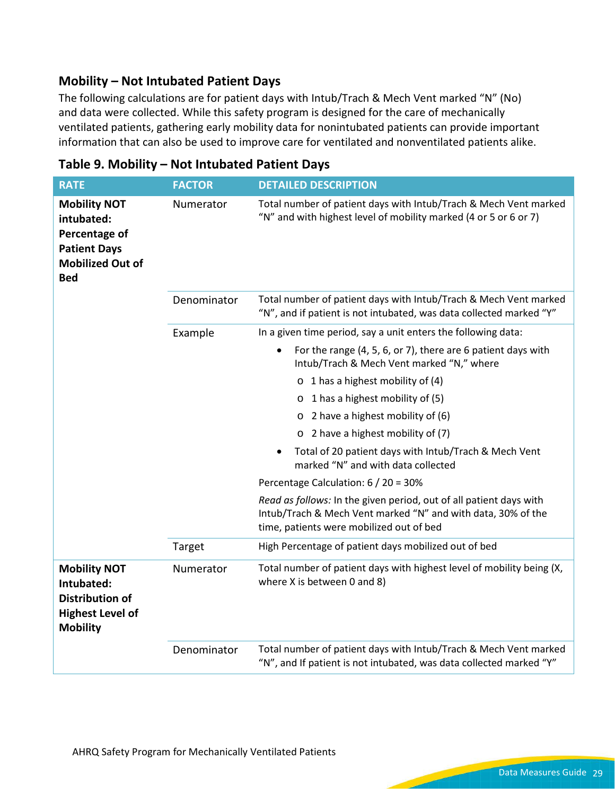### **Mobility – Not Intubated Patient Days**

The following calculations are for patient days with Intub/Trach & Mech Vent marked "N" (No) and data were collected. While this safety program is designed for the care of mechanically ventilated patients, gathering early mobility data for nonintubated patients can provide important information that can also be used to improve care for ventilated and nonventilated patients alike.

| <b>RATE</b>                                                                                                        | <b>FACTOR</b> | <b>DETAILED DESCRIPTION</b>                                                                                                                                                    |
|--------------------------------------------------------------------------------------------------------------------|---------------|--------------------------------------------------------------------------------------------------------------------------------------------------------------------------------|
| <b>Mobility NOT</b><br>intubated:<br>Percentage of<br><b>Patient Days</b><br><b>Mobilized Out of</b><br><b>Bed</b> | Numerator     | Total number of patient days with Intub/Trach & Mech Vent marked<br>"N" and with highest level of mobility marked (4 or 5 or 6 or 7)                                           |
|                                                                                                                    | Denominator   | Total number of patient days with Intub/Trach & Mech Vent marked<br>"N", and if patient is not intubated, was data collected marked "Y"                                        |
|                                                                                                                    | Example       | In a given time period, say a unit enters the following data:                                                                                                                  |
|                                                                                                                    |               | For the range (4, 5, 6, or 7), there are 6 patient days with<br>Intub/Trach & Mech Vent marked "N," where                                                                      |
|                                                                                                                    |               | $\circ$ 1 has a highest mobility of (4)                                                                                                                                        |
|                                                                                                                    |               | $\circ$ 1 has a highest mobility of (5)                                                                                                                                        |
|                                                                                                                    |               | $\circ$ 2 have a highest mobility of (6)                                                                                                                                       |
|                                                                                                                    |               | 2 have a highest mobility of (7)<br>$\circ$                                                                                                                                    |
|                                                                                                                    |               | Total of 20 patient days with Intub/Trach & Mech Vent<br>marked "N" and with data collected                                                                                    |
|                                                                                                                    |               | Percentage Calculation: 6 / 20 = 30%                                                                                                                                           |
|                                                                                                                    |               | Read as follows: In the given period, out of all patient days with<br>Intub/Trach & Mech Vent marked "N" and with data, 30% of the<br>time, patients were mobilized out of bed |
|                                                                                                                    | Target        | High Percentage of patient days mobilized out of bed                                                                                                                           |
| <b>Mobility NOT</b><br>Intubated:<br><b>Distribution of</b><br><b>Highest Level of</b><br><b>Mobility</b>          | Numerator     | Total number of patient days with highest level of mobility being (X,<br>where X is between 0 and 8)                                                                           |
|                                                                                                                    | Denominator   | Total number of patient days with Intub/Trach & Mech Vent marked<br>"N", and If patient is not intubated, was data collected marked "Y"                                        |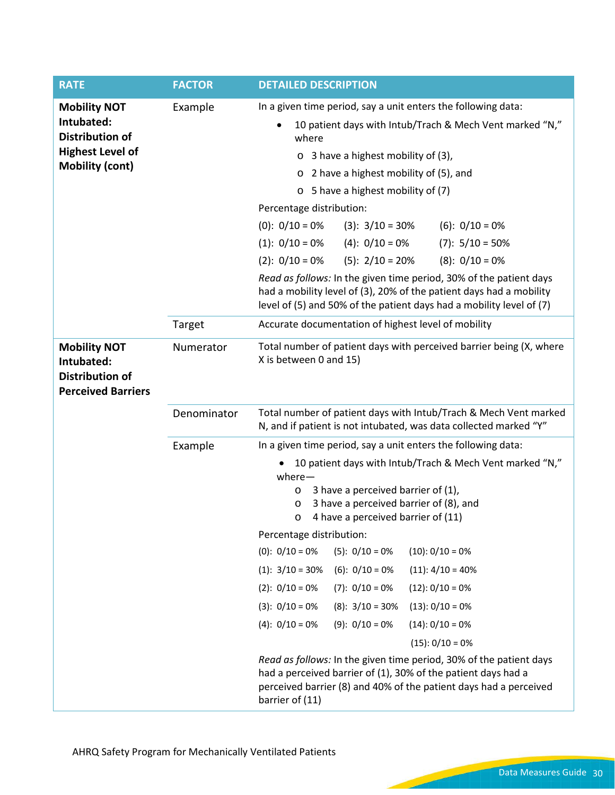| <b>RATE</b>                                                                                                      | <b>FACTOR</b> | <b>DETAILED DESCRIPTION</b>                                                                                                                                                                                                                                                                                                                                                                                                                                                                                                                                                                                                                                                                                                                                                                                                                                                                   |
|------------------------------------------------------------------------------------------------------------------|---------------|-----------------------------------------------------------------------------------------------------------------------------------------------------------------------------------------------------------------------------------------------------------------------------------------------------------------------------------------------------------------------------------------------------------------------------------------------------------------------------------------------------------------------------------------------------------------------------------------------------------------------------------------------------------------------------------------------------------------------------------------------------------------------------------------------------------------------------------------------------------------------------------------------|
| <b>Mobility NOT</b><br>Intubated:<br><b>Distribution of</b><br><b>Highest Level of</b><br><b>Mobility (cont)</b> | Example       | In a given time period, say a unit enters the following data:<br>10 patient days with Intub/Trach & Mech Vent marked "N,"<br>where<br>3 have a highest mobility of (3),<br>O<br>$\circ$ 2 have a highest mobility of (5), and<br>o 5 have a highest mobility of (7)<br>Percentage distribution:<br>$(0): 0/10 = 0%$<br>$(3): 3/10 = 30\%$<br>$(6): 0/10 = 0%$<br>$(1): 0/10 = 0%$<br>$(4): 0/10 = 0%$<br>$(7): 5/10 = 50\%$<br>$(8): 0/10 = 0%$<br>$(2): 0/10 = 0%$<br>$(5): 2/10 = 20%$<br>Read as follows: In the given time period, 30% of the patient days<br>had a mobility level of (3), 20% of the patient days had a mobility<br>level of (5) and 50% of the patient days had a mobility level of (7)                                                                                                                                                                                 |
|                                                                                                                  | Target        | Accurate documentation of highest level of mobility                                                                                                                                                                                                                                                                                                                                                                                                                                                                                                                                                                                                                                                                                                                                                                                                                                           |
| <b>Mobility NOT</b><br>Intubated:<br><b>Distribution of</b><br><b>Perceived Barriers</b>                         | Numerator     | Total number of patient days with perceived barrier being (X, where<br>X is between 0 and 15)                                                                                                                                                                                                                                                                                                                                                                                                                                                                                                                                                                                                                                                                                                                                                                                                 |
|                                                                                                                  | Denominator   | Total number of patient days with Intub/Trach & Mech Vent marked<br>N, and if patient is not intubated, was data collected marked "Y"                                                                                                                                                                                                                                                                                                                                                                                                                                                                                                                                                                                                                                                                                                                                                         |
|                                                                                                                  | Example       | In a given time period, say a unit enters the following data:<br>10 patient days with Intub/Trach & Mech Vent marked "N,"<br>$where -$<br>3 have a perceived barrier of (1),<br>$\circ$<br>3 have a perceived barrier of (8), and<br>$\circ$<br>4 have a perceived barrier of (11)<br>O<br>Percentage distribution:<br>$(5): 0/10 = 0%$<br>$(0): 0/10 = 0%$<br>$(10): 0/10 = 0%$<br>$(1): 3/10 = 30\%$<br>$(6): 0/10 = 0%$<br>$(11): 4/10 = 40%$<br>$(2): 0/10 = 0%$<br>$(7): 0/10 = 0%$<br>$(12): 0/10 = 0%$<br>$(3): 0/10 = 0%$<br>$(8): 3/10 = 30\%$<br>$(13): 0/10 = 0%$<br>$(4): 0/10 = 0%$<br>$(9): 0/10 = 0%$<br>$(14): 0/10 = 0%$<br>$(15): 0/10 = 0%$<br>Read as follows: In the given time period, 30% of the patient days<br>had a perceived barrier of (1), 30% of the patient days had a<br>perceived barrier (8) and 40% of the patient days had a perceived<br>barrier of (11) |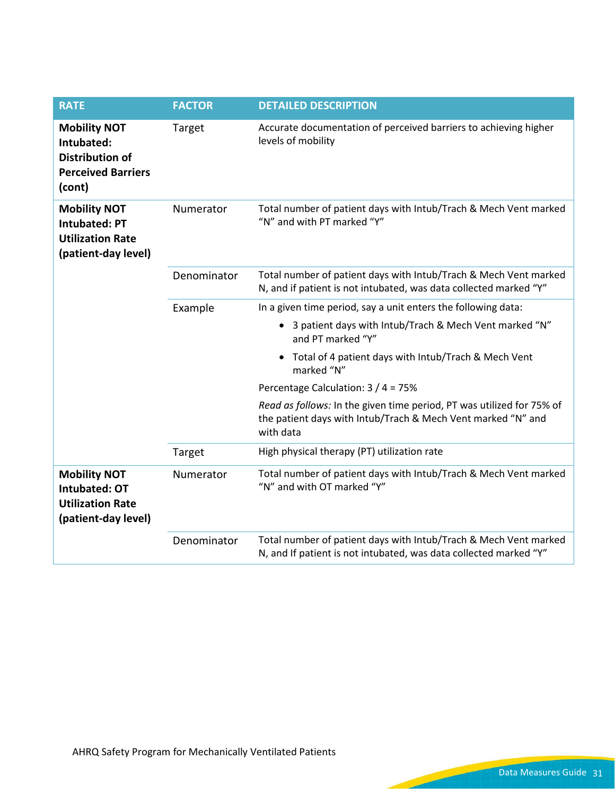| <b>RATE</b>                                                                                        | <b>FACTOR</b> | <b>DETAILED DESCRIPTION</b>                                                                                                                        |
|----------------------------------------------------------------------------------------------------|---------------|----------------------------------------------------------------------------------------------------------------------------------------------------|
| <b>Mobility NOT</b><br>Intubated:<br><b>Distribution of</b><br><b>Perceived Barriers</b><br>(cont) | Target        | Accurate documentation of perceived barriers to achieving higher<br>levels of mobility                                                             |
| <b>Mobility NOT</b><br><b>Intubated: PT</b><br><b>Utilization Rate</b><br>(patient-day level)      | Numerator     | Total number of patient days with Intub/Trach & Mech Vent marked<br>"N" and with PT marked "Y"                                                     |
|                                                                                                    | Denominator   | Total number of patient days with Intub/Trach & Mech Vent marked<br>N, and if patient is not intubated, was data collected marked "Y"              |
|                                                                                                    | Example       | In a given time period, say a unit enters the following data:                                                                                      |
|                                                                                                    |               | 3 patient days with Intub/Trach & Mech Vent marked "N"<br>$\bullet$<br>and PT marked "Y"                                                           |
|                                                                                                    |               | Total of 4 patient days with Intub/Trach & Mech Vent<br>marked "N"                                                                                 |
|                                                                                                    |               | Percentage Calculation: 3 / 4 = 75%                                                                                                                |
|                                                                                                    |               | Read as follows: In the given time period, PT was utilized for 75% of<br>the patient days with Intub/Trach & Mech Vent marked "N" and<br>with data |
|                                                                                                    | Target        | High physical therapy (PT) utilization rate                                                                                                        |
| <b>Mobility NOT</b><br><b>Intubated: OT</b><br><b>Utilization Rate</b><br>(patient-day level)      | Numerator     | Total number of patient days with Intub/Trach & Mech Vent marked<br>"N" and with OT marked "Y"                                                     |
|                                                                                                    | Denominator   | Total number of patient days with Intub/Trach & Mech Vent marked<br>N, and If patient is not intubated, was data collected marked "Y"              |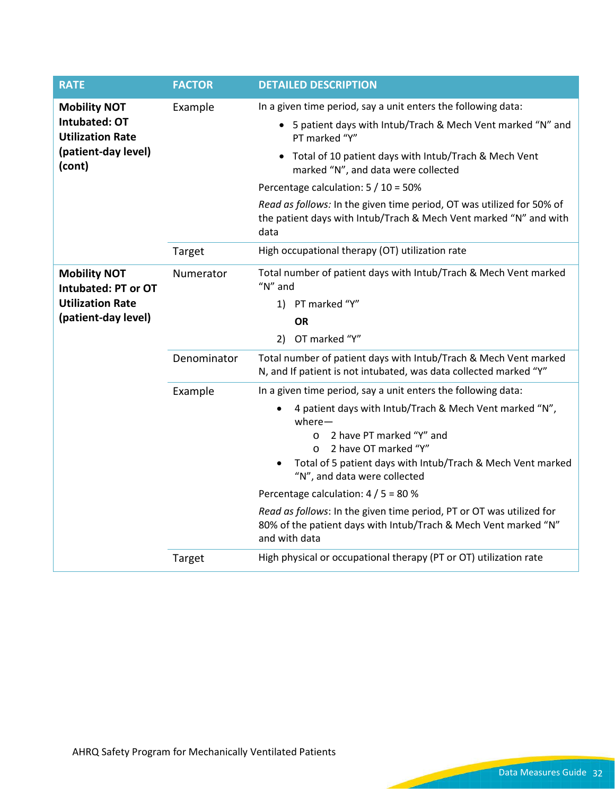| <b>RATE</b>                                                     | <b>FACTOR</b> | <b>DETAILED DESCRIPTION</b>                                                                                                                              |
|-----------------------------------------------------------------|---------------|----------------------------------------------------------------------------------------------------------------------------------------------------------|
| <b>Mobility NOT</b><br>Intubated: OT<br><b>Utilization Rate</b> | Example       | In a given time period, say a unit enters the following data:                                                                                            |
|                                                                 |               | • 5 patient days with Intub/Trach & Mech Vent marked "N" and<br>PT marked "Y"                                                                            |
| (patient-day level)<br>(cont)                                   |               | • Total of 10 patient days with Intub/Trach & Mech Vent<br>marked "N", and data were collected                                                           |
|                                                                 |               | Percentage calculation: 5 / 10 = 50%                                                                                                                     |
|                                                                 |               | Read as follows: In the given time period, OT was utilized for 50% of<br>the patient days with Intub/Trach & Mech Vent marked "N" and with<br>data       |
|                                                                 | Target        | High occupational therapy (OT) utilization rate                                                                                                          |
| <b>Mobility NOT</b><br>Intubated: PT or OT                      | Numerator     | Total number of patient days with Intub/Trach & Mech Vent marked<br>" $N$ " and                                                                          |
| <b>Utilization Rate</b>                                         |               | 1) PT marked "Y"                                                                                                                                         |
| (patient-day level)                                             |               | ΟR                                                                                                                                                       |
|                                                                 |               | 2) OT marked "Y"                                                                                                                                         |
|                                                                 | Denominator   | Total number of patient days with Intub/Trach & Mech Vent marked<br>N, and If patient is not intubated, was data collected marked "Y"                    |
|                                                                 | Example       | In a given time period, say a unit enters the following data:                                                                                            |
|                                                                 |               | 4 patient days with Intub/Trach & Mech Vent marked "N",<br>$where -$                                                                                     |
|                                                                 |               | 2 have PT marked "Y" and<br>$\circ$                                                                                                                      |
|                                                                 |               | 2 have OT marked "Y"<br>$\circ$<br>Total of 5 patient days with Intub/Trach & Mech Vent marked                                                           |
|                                                                 |               | "N", and data were collected                                                                                                                             |
|                                                                 |               | Percentage calculation: 4 / 5 = 80 %                                                                                                                     |
|                                                                 |               | Read as follows: In the given time period, PT or OT was utilized for<br>80% of the patient days with Intub/Trach & Mech Vent marked "N"<br>and with data |
|                                                                 | Target        | High physical or occupational therapy (PT or OT) utilization rate                                                                                        |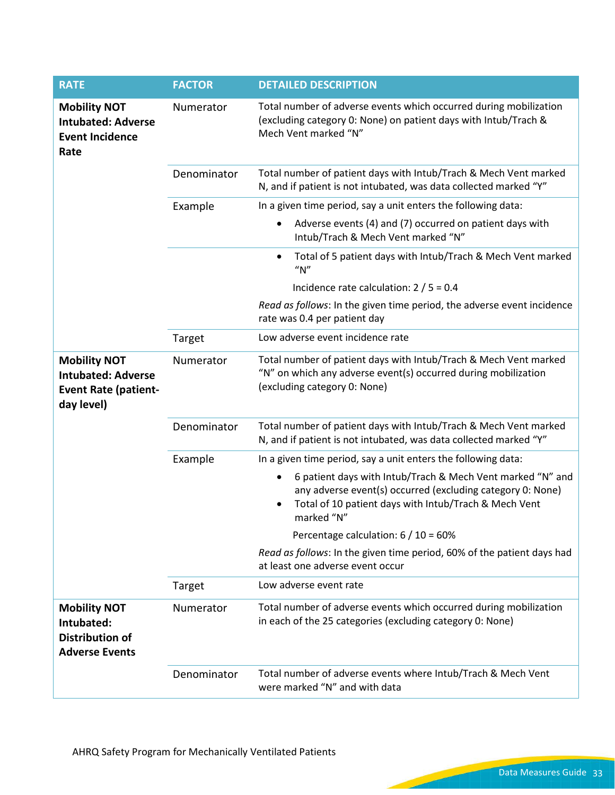| <b>RATE</b>                                                                                   | <b>FACTOR</b> | <b>DETAILED DESCRIPTION</b>                                                                                                                                                                          |
|-----------------------------------------------------------------------------------------------|---------------|------------------------------------------------------------------------------------------------------------------------------------------------------------------------------------------------------|
| <b>Mobility NOT</b><br><b>Intubated: Adverse</b><br><b>Event Incidence</b><br>Rate            | Numerator     | Total number of adverse events which occurred during mobilization<br>(excluding category 0: None) on patient days with Intub/Trach &<br>Mech Vent marked "N"                                         |
|                                                                                               | Denominator   | Total number of patient days with Intub/Trach & Mech Vent marked<br>N, and if patient is not intubated, was data collected marked "Y"                                                                |
|                                                                                               | Example       | In a given time period, say a unit enters the following data:                                                                                                                                        |
|                                                                                               |               | Adverse events (4) and (7) occurred on patient days with<br>Intub/Trach & Mech Vent marked "N"                                                                                                       |
|                                                                                               |               | Total of 5 patient days with Intub/Trach & Mech Vent marked<br>$\bullet$<br>''N''                                                                                                                    |
|                                                                                               |               | Incidence rate calculation: $2/5 = 0.4$                                                                                                                                                              |
|                                                                                               |               | Read as follows: In the given time period, the adverse event incidence<br>rate was 0.4 per patient day                                                                                               |
|                                                                                               | Target        | Low adverse event incidence rate                                                                                                                                                                     |
| <b>Mobility NOT</b><br><b>Intubated: Adverse</b><br><b>Event Rate (patient-</b><br>day level) | Numerator     | Total number of patient days with Intub/Trach & Mech Vent marked<br>"N" on which any adverse event(s) occurred during mobilization<br>(excluding category 0: None)                                   |
|                                                                                               | Denominator   | Total number of patient days with Intub/Trach & Mech Vent marked<br>N, and if patient is not intubated, was data collected marked "Y"                                                                |
|                                                                                               | Example       | In a given time period, say a unit enters the following data:                                                                                                                                        |
|                                                                                               |               | 6 patient days with Intub/Trach & Mech Vent marked "N" and<br>٠<br>any adverse event(s) occurred (excluding category 0: None)<br>Total of 10 patient days with Intub/Trach & Mech Vent<br>marked "N" |
|                                                                                               |               | Percentage calculation: $6/10 = 60\%$                                                                                                                                                                |
|                                                                                               |               | Read as follows: In the given time period, 60% of the patient days had<br>at least one adverse event occur                                                                                           |
|                                                                                               | Target        | Low adverse event rate                                                                                                                                                                               |
| <b>Mobility NOT</b><br>Intubated:<br><b>Distribution of</b><br><b>Adverse Events</b>          | Numerator     | Total number of adverse events which occurred during mobilization<br>in each of the 25 categories (excluding category 0: None)                                                                       |
|                                                                                               | Denominator   | Total number of adverse events where Intub/Trach & Mech Vent<br>were marked "N" and with data                                                                                                        |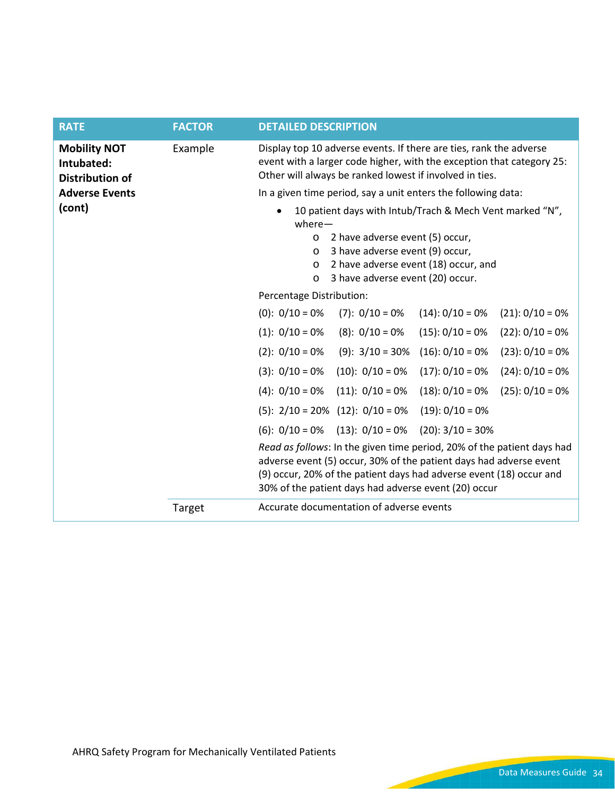| <b>RATE</b>                                                 | <b>FACTOR</b> | <b>DETAILED DESCRIPTION</b>                                                                                                                                                                                                                                                 |
|-------------------------------------------------------------|---------------|-----------------------------------------------------------------------------------------------------------------------------------------------------------------------------------------------------------------------------------------------------------------------------|
| <b>Mobility NOT</b><br>Intubated:<br><b>Distribution of</b> | Example       | Display top 10 adverse events. If there are ties, rank the adverse<br>event with a larger code higher, with the exception that category 25:<br>Other will always be ranked lowest if involved in ties.                                                                      |
| <b>Adverse Events</b>                                       |               | In a given time period, say a unit enters the following data:                                                                                                                                                                                                               |
| (cont)                                                      |               | 10 patient days with Intub/Trach & Mech Vent marked "N",<br>$where -$                                                                                                                                                                                                       |
|                                                             |               | 2 have adverse event (5) occur,<br>$\circ$<br>3 have adverse event (9) occur,<br>$\circ$                                                                                                                                                                                    |
|                                                             |               | 2 have adverse event (18) occur, and<br>$\circ$                                                                                                                                                                                                                             |
|                                                             |               | 3 have adverse event (20) occur.<br>$\circ$                                                                                                                                                                                                                                 |
|                                                             |               | Percentage Distribution:                                                                                                                                                                                                                                                    |
|                                                             |               | $(0): 0/10 = 0%$<br>$(7): 0/10 = 0%$<br>$(14): 0/10 = 0%$<br>$(21): 0/10 = 0%$                                                                                                                                                                                              |
|                                                             |               | $(1): 0/10 = 0%$<br>$(8): 0/10 = 0%$<br>$(15): 0/10 = 0\%$<br>$(22): 0/10 = 0%$                                                                                                                                                                                             |
|                                                             |               | $(2): 0/10 = 0%$<br>$(9): 3/10 = 30%$<br>$(16): 0/10 = 0%$<br>$(23): 0/10 = 0%$                                                                                                                                                                                             |
|                                                             |               | $(10): 0/10 = 0%$<br>$(17): 0/10 = 0\%$<br>$(24): 0/10 = 0%$<br>$(3): 0/10 = 0%$                                                                                                                                                                                            |
|                                                             |               | $(11): 0/10 = 0%$<br>$(18): 0/10 = 0%$<br>$(25): 0/10 = 0%$<br>$(4): 0/10 = 0%$                                                                                                                                                                                             |
|                                                             |               | $(5): 2/10 = 20\%$ $(12): 0/10 = 0\%$<br>$(19): 0/10 = 0%$                                                                                                                                                                                                                  |
|                                                             |               | $(13): 0/10 = 0%$<br>$(20): 3/10 = 30%$<br>$(6): 0/10 = 0%$                                                                                                                                                                                                                 |
|                                                             |               | Read as follows: In the given time period, 20% of the patient days had<br>adverse event (5) occur, 30% of the patient days had adverse event<br>(9) occur, 20% of the patient days had adverse event (18) occur and<br>30% of the patient days had adverse event (20) occur |
|                                                             | Target        | Accurate documentation of adverse events                                                                                                                                                                                                                                    |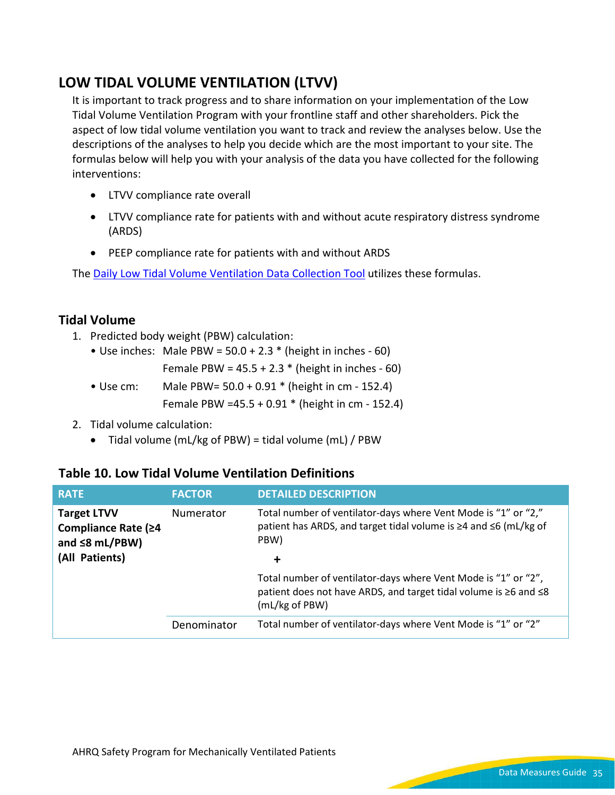## **LOW TIDAL VOLUME VENTILATION (LTVV)**

It is important to track progress and to share information on your implementation of the Low Tidal Volume Ventilation Program with your frontline staff and other shareholders. Pick the aspect of low tidal volume ventilation you want to track and review the analyses below. Use the descriptions of the analyses to help you decide which are the most important to your site. The formulas below will help you with your analysis of the data you have collected for the following interventions:

- LTVV compliance rate overall
- LTVV compliance rate for patients with and without acute respiratory distress syndrome (ARDS)
- PEEP compliance rate for patients with and without ARDS

The [Daily Low Tidal Volume Ventilation](https://www.ahrq.gov/sites/default/files/wysiwyg/professionals/quality-patient-safety/hais/tools/mvp/modules/technical/daily-ltvv-tool.docx) Data Collection Tool utilizes these formulas.

### **Tidal Volume**

- 1. Predicted body weight (PBW) calculation:
	- Use inches: Male PBW =  $50.0 + 2.3$  \* (height in inches 60)
		- Female PBW =  $45.5 + 2.3$  \* (height in inches 60)
	- Use cm: Male PBW= 50.0 + 0.91 \* (height in cm 152.4) Female PBW =45.5 + 0.91 \* (height in cm - 152.4)
- 2. Tidal volume calculation:
	- Tidal volume (mL/kg of PBW) = tidal volume (mL) / PBW

#### **Table 10. Low Tidal Volume Ventilation Definitions**

| <b>RATE</b>                                                       | <b>FACTOR</b> | <b>DETAILED DESCRIPTION</b>                                                                                                                          |
|-------------------------------------------------------------------|---------------|------------------------------------------------------------------------------------------------------------------------------------------------------|
| <b>Target LTVV</b><br>Compliance Rate (≥4<br>and $\leq 8$ mL/PBW) | Numerator     | Total number of ventilator-days where Vent Mode is "1" or "2,"<br>patient has ARDS, and target tidal volume is ≥4 and ≤6 (mL/kg of<br>PBW)           |
| (All Patients)                                                    |               | $\ddot{}$                                                                                                                                            |
|                                                                   |               | Total number of ventilator-days where Vent Mode is "1" or "2",<br>patient does not have ARDS, and target tidal volume is ≥6 and ≤8<br>(mL/kg of PBW) |
|                                                                   | Denominator   | Total number of ventilator-days where Vent Mode is "1" or "2"                                                                                        |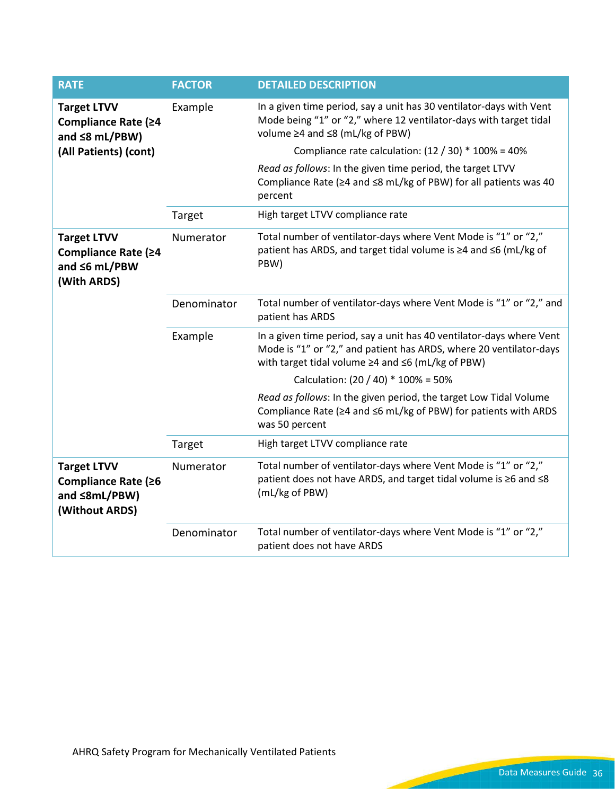| <b>RATE</b>                                                                       | <b>FACTOR</b> | <b>DETAILED DESCRIPTION</b>                                                                                                                                                                     |
|-----------------------------------------------------------------------------------|---------------|-------------------------------------------------------------------------------------------------------------------------------------------------------------------------------------------------|
| <b>Target LTVV</b><br>Compliance Rate (≥4<br>and $\leq 8$ mL/PBW)                 | Example       | In a given time period, say a unit has 30 ventilator-days with Vent<br>Mode being "1" or "2," where 12 ventilator-days with target tidal<br>volume ≥4 and ≤8 (mL/kg of PBW)                     |
| (All Patients) (cont)                                                             |               | Compliance rate calculation: $(12 / 30) * 100\% = 40\%$                                                                                                                                         |
|                                                                                   |               | Read as follows: In the given time period, the target LTVV<br>Compliance Rate (≥4 and ≤8 mL/kg of PBW) for all patients was 40<br>percent                                                       |
|                                                                                   | Target        | High target LTVV compliance rate                                                                                                                                                                |
| <b>Target LTVV</b><br>Compliance Rate (≥4<br>and ≤6 mL/PBW<br>(With ARDS)         | Numerator     | Total number of ventilator-days where Vent Mode is "1" or "2,"<br>patient has ARDS, and target tidal volume is ≥4 and ≤6 (mL/kg of<br>PBW)                                                      |
|                                                                                   | Denominator   | Total number of ventilator-days where Vent Mode is "1" or "2," and<br>patient has ARDS                                                                                                          |
|                                                                                   | Example       | In a given time period, say a unit has 40 ventilator-days where Vent<br>Mode is "1" or "2," and patient has ARDS, where 20 ventilator-days<br>with target tidal volume ≥4 and ≤6 (mL/kg of PBW) |
|                                                                                   |               | Calculation: (20 / 40) * 100% = 50%                                                                                                                                                             |
|                                                                                   |               | Read as follows: In the given period, the target Low Tidal Volume<br>Compliance Rate (≥4 and ≤6 mL/kg of PBW) for patients with ARDS<br>was 50 percent                                          |
|                                                                                   | Target        | High target LTVV compliance rate                                                                                                                                                                |
| <b>Target LTVV</b><br>Compliance Rate (≥6<br>and $\leq 8mL/PBW$<br>(Without ARDS) | Numerator     | Total number of ventilator-days where Vent Mode is "1" or "2,"<br>patient does not have ARDS, and target tidal volume is ≥6 and ≤8<br>(mL/kg of PBW)                                            |
|                                                                                   | Denominator   | Total number of ventilator-days where Vent Mode is "1" or "2,"<br>patient does not have ARDS                                                                                                    |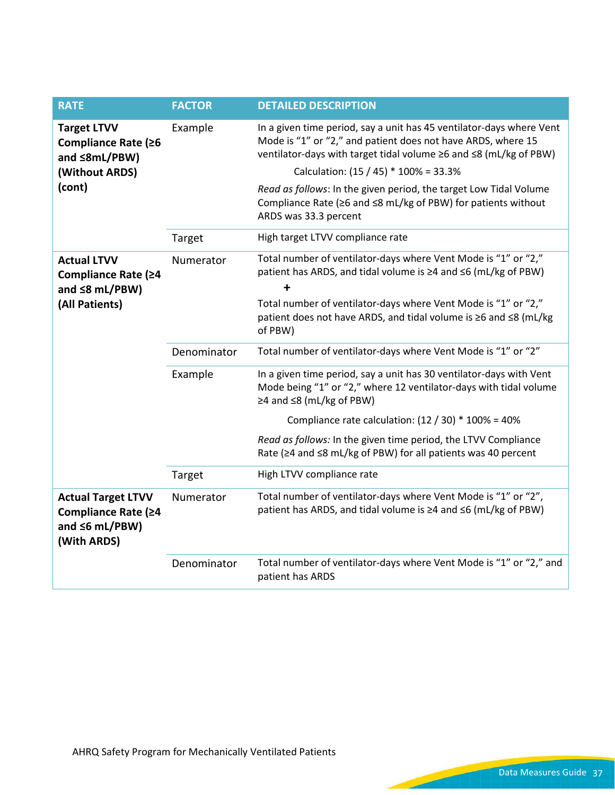| <b>RATE</b>                                                                             | <b>FACTOR</b> | <b>DETAILED DESCRIPTION</b>                                                                                                                                                                                                                        |
|-----------------------------------------------------------------------------------------|---------------|----------------------------------------------------------------------------------------------------------------------------------------------------------------------------------------------------------------------------------------------------|
| <b>Target LTVV</b><br>Compliance Rate (≥6<br>and $\leq 8mL/PBW$<br>(Without ARDS)       | Example       | In a given time period, say a unit has 45 ventilator-days where Vent<br>Mode is "1" or "2," and patient does not have ARDS, where 15<br>ventilator-days with target tidal volume ≥6 and ≤8 (mL/kg of PBW)<br>Calculation: (15 / 45) * 100% = 33.3% |
| (cont)                                                                                  |               | Read as follows: In the given period, the target Low Tidal Volume<br>Compliance Rate (≥6 and ≤8 mL/kg of PBW) for patients without<br>ARDS was 33.3 percent                                                                                        |
|                                                                                         | Target        | High target LTVV compliance rate                                                                                                                                                                                                                   |
| <b>Actual LTVV</b><br>Compliance Rate (≥4<br>and $\leq 8$ mL/PBW)                       | Numerator     | Total number of ventilator-days where Vent Mode is "1" or "2,"<br>patient has ARDS, and tidal volume is ≥4 and ≤6 (mL/kg of PBW)                                                                                                                   |
| (All Patients)                                                                          |               | Total number of ventilator-days where Vent Mode is "1" or "2,"<br>patient does not have ARDS, and tidal volume is ≥6 and ≤8 (mL/kg<br>of PBW)                                                                                                      |
|                                                                                         | Denominator   | Total number of ventilator-days where Vent Mode is "1" or "2"                                                                                                                                                                                      |
|                                                                                         | Example       | In a given time period, say a unit has 30 ventilator-days with Vent<br>Mode being "1" or "2," where 12 ventilator-days with tidal volume<br>≥4 and ≤8 (mL/kg of PBW)                                                                               |
|                                                                                         |               | Compliance rate calculation: $(12 / 30) * 100\% = 40\%$                                                                                                                                                                                            |
|                                                                                         |               | Read as follows: In the given time period, the LTVV Compliance<br>Rate (≥4 and ≤8 mL/kg of PBW) for all patients was 40 percent                                                                                                                    |
|                                                                                         | Target        | High LTVV compliance rate                                                                                                                                                                                                                          |
| <b>Actual Target LTVV</b><br>Compliance Rate (≥4<br>and $\leq 6$ mL/PBW)<br>(With ARDS) | Numerator     | Total number of ventilator-days where Vent Mode is "1" or "2",<br>patient has ARDS, and tidal volume is ≥4 and ≤6 (mL/kg of PBW)                                                                                                                   |
|                                                                                         | Denominator   | Total number of ventilator-days where Vent Mode is "1" or "2," and<br>patient has ARDS                                                                                                                                                             |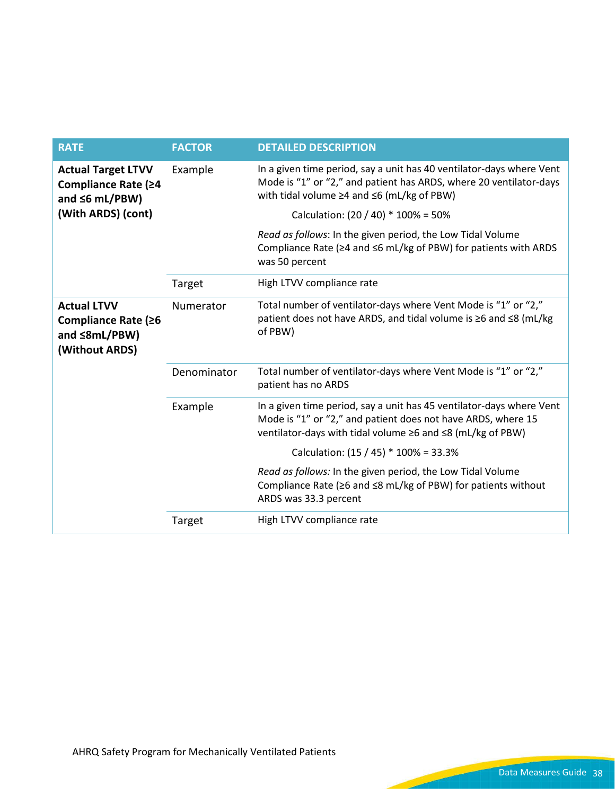| <b>RATE</b>                                                                       | <b>FACTOR</b> | <b>DETAILED DESCRIPTION</b>                                                                                                                                                                          |
|-----------------------------------------------------------------------------------|---------------|------------------------------------------------------------------------------------------------------------------------------------------------------------------------------------------------------|
| <b>Actual Target LTVV</b><br>Compliance Rate (≥4<br>and $\leq 6$ mL/PBW)          | Example       | In a given time period, say a unit has 40 ventilator-days where Vent<br>Mode is "1" or "2," and patient has ARDS, where 20 ventilator-days<br>with tidal volume $\geq 4$ and $\leq 6$ (mL/kg of PBW) |
| (With ARDS) (cont)                                                                |               | Calculation: $(20 / 40) * 100\% = 50\%$                                                                                                                                                              |
|                                                                                   |               | Read as follows: In the given period, the Low Tidal Volume<br>Compliance Rate (≥4 and ≤6 mL/kg of PBW) for patients with ARDS<br>was 50 percent                                                      |
|                                                                                   | Target        | High LTVV compliance rate                                                                                                                                                                            |
| <b>Actual LTVV</b><br>Compliance Rate (≥6<br>and $\leq 8mL/PBW$<br>(Without ARDS) | Numerator     | Total number of ventilator-days where Vent Mode is "1" or "2,"<br>patient does not have ARDS, and tidal volume is ≥6 and ≤8 (mL/kg<br>of PBW)                                                        |
|                                                                                   | Denominator   | Total number of ventilator-days where Vent Mode is "1" or "2,"<br>patient has no ARDS                                                                                                                |
|                                                                                   | Example       | In a given time period, say a unit has 45 ventilator-days where Vent<br>Mode is "1" or "2," and patient does not have ARDS, where 15<br>ventilator-days with tidal volume ≥6 and ≤8 (mL/kg of PBW)   |
|                                                                                   |               | Calculation: $(15 / 45) * 100\% = 33.3\%$                                                                                                                                                            |
|                                                                                   |               | Read as follows: In the given period, the Low Tidal Volume<br>Compliance Rate ( $\geq 6$ and $\leq 8$ mL/kg of PBW) for patients without<br>ARDS was 33.3 percent                                    |
|                                                                                   | Target        | High LTVV compliance rate                                                                                                                                                                            |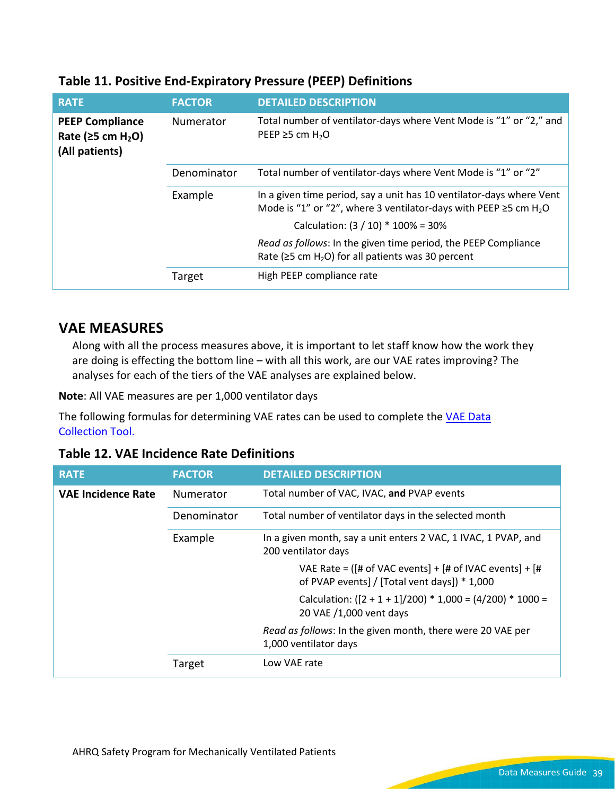| <b>RATE</b>                                                                      | <b>FACTOR</b>                                                 | <b>DETAILED DESCRIPTION</b>                                                                                                                                |
|----------------------------------------------------------------------------------|---------------------------------------------------------------|------------------------------------------------------------------------------------------------------------------------------------------------------------|
| <b>PEEP Compliance</b><br>Rate ( $\geq$ 5 cm H <sub>2</sub> O)<br>(All patients) | Numerator                                                     | Total number of ventilator-days where Vent Mode is "1" or "2," and<br>PEEP $\geq$ 5 cm H <sub>2</sub> O                                                    |
| Denominator                                                                      | Total number of ventilator-days where Vent Mode is "1" or "2" |                                                                                                                                                            |
| Example                                                                          |                                                               | In a given time period, say a unit has 10 ventilator-days where Vent<br>Mode is "1" or "2", where 3 ventilator-days with PEEP $\geq$ 5 cm H <sub>2</sub> O |
|                                                                                  |                                                               | Calculation: $(3 / 10) * 100\% = 30\%$                                                                                                                     |
|                                                                                  |                                                               | Read as follows: In the given time period, the PEEP Compliance<br>Rate ( $\ge$ 5 cm H <sub>2</sub> O) for all patients was 30 percent                      |
|                                                                                  | Target                                                        | High PEEP compliance rate                                                                                                                                  |

#### **Table 11. Positive End-Expiratory Pressure (PEEP) Definitions**

### **VAE MEASURES**

Along with all the process measures above, it is important to let staff know how the work they are doing is effecting the bottom line – with all this work, are our VAE rates improving? The analyses for each of the tiers of the VAE analyses are explained below.

**Note**: All VAE measures are per 1,000 ventilator days

The following formulas for determining VAE rates can be used to complete the VAE Data [Collection](https://www.ahrq.gov/sites/default/files/wysiwyg/professionals/quality-patient-safety/hais/tools/mvp/modules/vae/vae-tool.docx) Tool.

**Table 12. VAE Incidence Rate Definitions**

| <b>RATE</b>               | <b>FACTOR</b>    | <b>DETAILED DESCRIPTION</b>                                                                               |
|---------------------------|------------------|-----------------------------------------------------------------------------------------------------------|
| <b>VAE Incidence Rate</b> | <b>Numerator</b> | Total number of VAC, IVAC, and PVAP events                                                                |
|                           | Denominator      | Total number of ventilator days in the selected month                                                     |
|                           | Example          | In a given month, say a unit enters 2 VAC, 1 IVAC, 1 PVAP, and<br>200 ventilator days                     |
|                           |                  | VAE Rate = $([# of VAC events] + [# of IVAC events] + [#$<br>of PVAP events] / [Total vent days]) * 1,000 |
|                           |                  | Calculation: $([2 + 1 + 1]/200) * 1,000 = (4/200) * 1000 =$<br>20 VAE /1,000 vent days                    |
|                           |                  | Read as follows: In the given month, there were 20 VAE per<br>1,000 ventilator days                       |
|                           | Target           | Low VAE rate                                                                                              |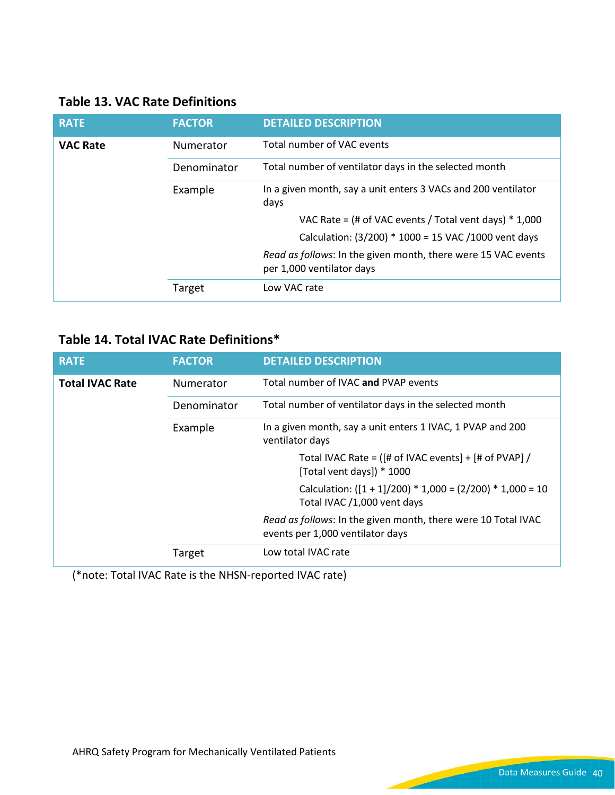|  |  |  | <b>Table 13. VAC Rate Definitions</b> |
|--|--|--|---------------------------------------|
|--|--|--|---------------------------------------|

| <b>RATE</b>     | <b>FACTOR</b> | <b>DETAILED DESCRIPTION</b>                                                                |
|-----------------|---------------|--------------------------------------------------------------------------------------------|
| <b>VAC Rate</b> | Numerator     | Total number of VAC events                                                                 |
|                 | Denominator   | Total number of ventilator days in the selected month                                      |
|                 | Example       | In a given month, say a unit enters 3 VACs and 200 ventilator<br>days                      |
|                 |               | VAC Rate = $($ # of VAC events / Total vent days) $*$ 1,000                                |
|                 |               | Calculation: (3/200) * 1000 = 15 VAC /1000 vent days                                       |
|                 |               | Read as follows: In the given month, there were 15 VAC events<br>per 1,000 ventilator days |
|                 | Target        | Low VAC rate                                                                               |

## **Table 14. Total IVAC Rate Definitions\***

| <b>RATE</b>            | <b>FACTOR</b> | <b>DETAILED DESCRIPTION</b>                                                                       |
|------------------------|---------------|---------------------------------------------------------------------------------------------------|
| <b>Total IVAC Rate</b> | Numerator     | Total number of IVAC and PVAP events                                                              |
|                        | Denominator   | Total number of ventilator days in the selected month                                             |
|                        | Example       | In a given month, say a unit enters 1 IVAC, 1 PVAP and 200<br>ventilator days                     |
|                        |               | Total IVAC Rate = $([# of IVAC events] + [# of PVAP] /$<br>[Total vent days]) * 1000              |
|                        |               | Calculation: $([1 + 1]/200) * 1,000 = (2/200) * 1,000 = 10$<br>Total IVAC /1,000 vent days        |
|                        |               | Read as follows: In the given month, there were 10 Total IVAC<br>events per 1,000 ventilator days |
|                        | Target        | Low total IVAC rate                                                                               |

(\*note: Total IVAC Rate is the NHSN-reported IVAC rate)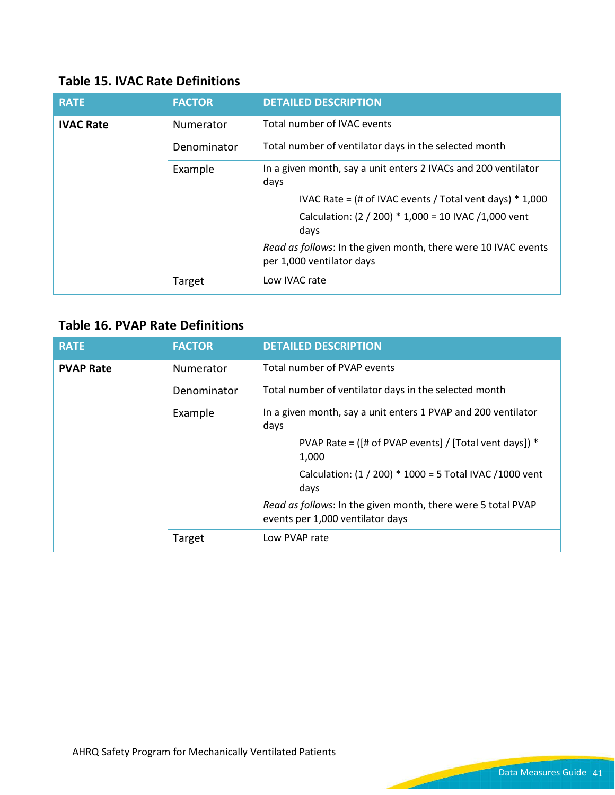### **Table 15. IVAC Rate Definitions**

| <b>RATE</b>      | <b>FACTOR</b> | <b>DETAILED DESCRIPTION</b>                                                                 |
|------------------|---------------|---------------------------------------------------------------------------------------------|
| <b>IVAC Rate</b> | Numerator     | Total number of IVAC events                                                                 |
|                  | Denominator   | Total number of ventilator days in the selected month                                       |
|                  | Example       | In a given month, say a unit enters 2 IVACs and 200 ventilator<br>days                      |
|                  |               | IVAC Rate = $($ # of IVAC events / Total vent days $)$ * 1,000                              |
|                  |               | Calculation: (2 / 200) * 1,000 = 10 IVAC / 1,000 vent<br>days                               |
|                  |               | Read as follows: In the given month, there were 10 IVAC events<br>per 1,000 ventilator days |
|                  | Target        | Low IVAC rate                                                                               |

### **Table 16. PVAP Rate Definitions**

| <b>RATE</b>      | <b>FACTOR</b> | <b>DETAILED DESCRIPTION</b>                                                                      |
|------------------|---------------|--------------------------------------------------------------------------------------------------|
| <b>PVAP Rate</b> | Numerator     | Total number of PVAP events                                                                      |
|                  | Denominator   | Total number of ventilator days in the selected month                                            |
|                  | Example       | In a given month, say a unit enters 1 PVAP and 200 ventilator<br>days                            |
|                  |               | PVAP Rate = ( $[#$ of PVAP events] / [Total vent days]) *<br>1,000                               |
|                  |               | Calculation: (1 / 200) * 1000 = 5 Total IVAC / 1000 vent<br>days                                 |
|                  |               | Read as follows: In the given month, there were 5 total PVAP<br>events per 1,000 ventilator days |
|                  | Target        | Low PVAP rate                                                                                    |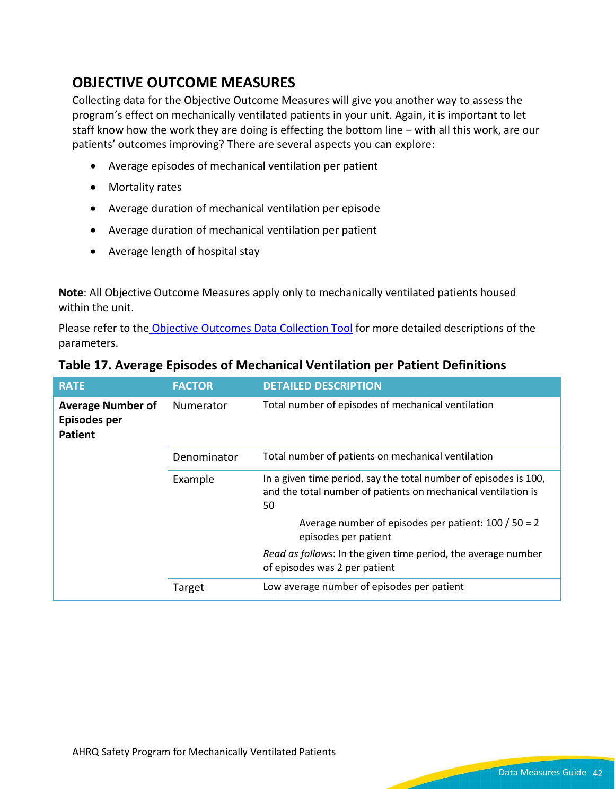## **OBJECTIVE OUTCOME MEASURES**

Collecting data for the Objective Outcome Measures will give you another way to assess the program's effect on mechanically ventilated patients in your unit. Again, it is important to let staff know how the work they are doing is effecting the bottom line – with all this work, are our patients' outcomes improving? There are several aspects you can explore:

- Average episodes of mechanical ventilation per patient
- Mortality rates
- Average duration of mechanical ventilation per episode
- Average duration of mechanical ventilation per patient
- Average length of hospital stay

**Note**: All Objective Outcome Measures apply only to mechanically ventilated patients housed within the unit.

Please refer to the Objective Outcomes [Data Collection Tool](https://www.ahrq.gov/sites/default/files/wysiwyg/professionals/quality-patient-safety/hais/tools/mvp/modules/vae/objective-outcome-tool.docx) for more detailed descriptions of the parameters.

| <b>RATE</b>                                                | <b>FACTOR</b> | <b>DETAILED DESCRIPTION</b>                                                                                                             |
|------------------------------------------------------------|---------------|-----------------------------------------------------------------------------------------------------------------------------------------|
| <b>Average Number of</b><br>Episodes per<br><b>Patient</b> | Numerator     | Total number of episodes of mechanical ventilation                                                                                      |
|                                                            | Denominator   | Total number of patients on mechanical ventilation                                                                                      |
|                                                            | Example       | In a given time period, say the total number of episodes is 100,<br>and the total number of patients on mechanical ventilation is<br>50 |
|                                                            |               | Average number of episodes per patient: $100 / 50 = 2$<br>episodes per patient                                                          |
|                                                            |               | Read as follows: In the given time period, the average number<br>of episodes was 2 per patient                                          |
|                                                            | Target        | Low average number of episodes per patient                                                                                              |

#### **Table 17. Average Episodes of Mechanical Ventilation per Patient Definitions**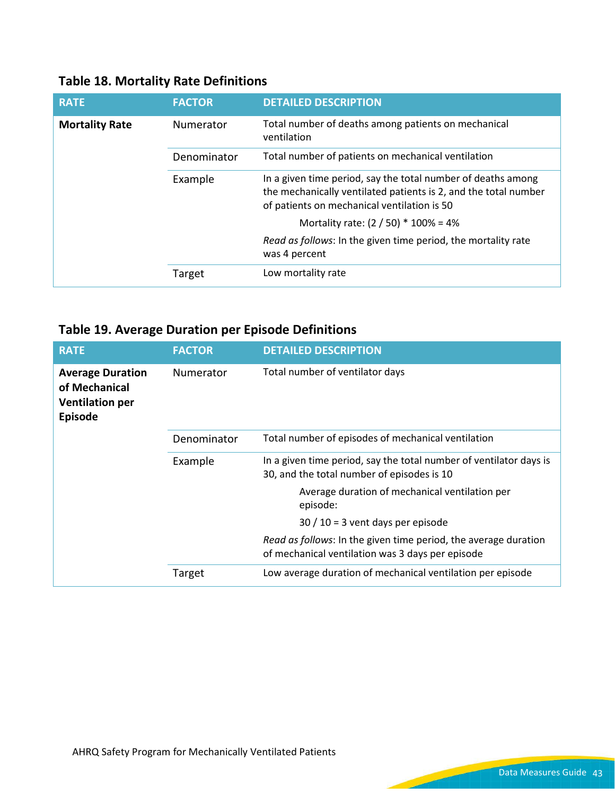|  |  |  | <b>Table 18. Mortality Rate Definitions</b> |
|--|--|--|---------------------------------------------|
|--|--|--|---------------------------------------------|

| <b>RATE</b>           | <b>FACTOR</b> | <b>DETAILED DESCRIPTION</b>                                                                                                                                                    |
|-----------------------|---------------|--------------------------------------------------------------------------------------------------------------------------------------------------------------------------------|
| <b>Mortality Rate</b> | Numerator     | Total number of deaths among patients on mechanical<br>ventilation                                                                                                             |
|                       | Denominator   | Total number of patients on mechanical ventilation                                                                                                                             |
|                       | Example       | In a given time period, say the total number of deaths among<br>the mechanically ventilated patients is 2, and the total number<br>of patients on mechanical ventilation is 50 |
|                       |               | Mortality rate: $(2 / 50) * 100\% = 4\%$                                                                                                                                       |
|                       |               | Read as follows: In the given time period, the mortality rate<br>was 4 percent                                                                                                 |
|                       | Target        | Low mortality rate                                                                                                                                                             |

## **Table 19. Average Duration per Episode Definitions**

| <b>RATE</b>                                                                                       | <b>FACTOR</b> | <b>DETAILED DESCRIPTION</b>                                                                                         |
|---------------------------------------------------------------------------------------------------|---------------|---------------------------------------------------------------------------------------------------------------------|
| <b>Average Duration</b><br>Numerator<br>of Mechanical<br><b>Ventilation per</b><br><b>Episode</b> |               | Total number of ventilator days                                                                                     |
| Example                                                                                           | Denominator   | Total number of episodes of mechanical ventilation                                                                  |
|                                                                                                   |               | In a given time period, say the total number of ventilator days is<br>30, and the total number of episodes is 10    |
|                                                                                                   |               | Average duration of mechanical ventilation per<br>episode:                                                          |
|                                                                                                   |               | $30 / 10 = 3$ vent days per episode                                                                                 |
|                                                                                                   |               | Read as follows: In the given time period, the average duration<br>of mechanical ventilation was 3 days per episode |
|                                                                                                   | Target        | Low average duration of mechanical ventilation per episode                                                          |

است ا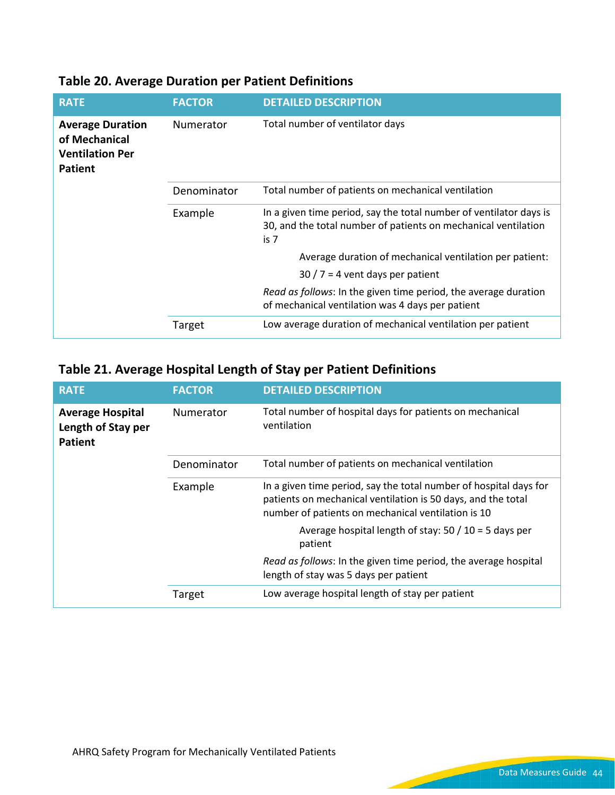| <b>RATE</b>                                                                          | <b>FACTOR</b>    | <b>DETAILED DESCRIPTION</b>                                                                                                                  |
|--------------------------------------------------------------------------------------|------------------|----------------------------------------------------------------------------------------------------------------------------------------------|
| <b>Average Duration</b><br>of Mechanical<br><b>Ventilation Per</b><br><b>Patient</b> | <b>Numerator</b> | Total number of ventilator days                                                                                                              |
| Example                                                                              | Denominator      | Total number of patients on mechanical ventilation                                                                                           |
|                                                                                      |                  | In a given time period, say the total number of ventilator days is<br>30, and the total number of patients on mechanical ventilation<br>is 7 |
|                                                                                      |                  | Average duration of mechanical ventilation per patient:                                                                                      |
|                                                                                      |                  | $30/7 = 4$ vent days per patient                                                                                                             |
|                                                                                      |                  | Read as follows: In the given time period, the average duration<br>of mechanical ventilation was 4 days per patient                          |
|                                                                                      | Target           | Low average duration of mechanical ventilation per patient                                                                                   |

## **Table 20. Average Duration per Patient Definitions**

## **Table 21. Average Hospital Length of Stay per Patient Definitions**

| <b>RATE</b>                                                     | <b>FACTOR</b> | <b>DETAILED DESCRIPTION</b>                                                                                                                                                             |
|-----------------------------------------------------------------|---------------|-----------------------------------------------------------------------------------------------------------------------------------------------------------------------------------------|
| <b>Average Hospital</b><br>Length of Stay per<br><b>Patient</b> | Numerator     | Total number of hospital days for patients on mechanical<br>ventilation                                                                                                                 |
|                                                                 | Denominator   | Total number of patients on mechanical ventilation                                                                                                                                      |
|                                                                 | Example       | In a given time period, say the total number of hospital days for<br>patients on mechanical ventilation is 50 days, and the total<br>number of patients on mechanical ventilation is 10 |
|                                                                 |               | Average hospital length of stay: $50 / 10 = 5$ days per<br>patient                                                                                                                      |
|                                                                 |               | Read as follows: In the given time period, the average hospital<br>length of stay was 5 days per patient                                                                                |
|                                                                 | Target        | Low average hospital length of stay per patient                                                                                                                                         |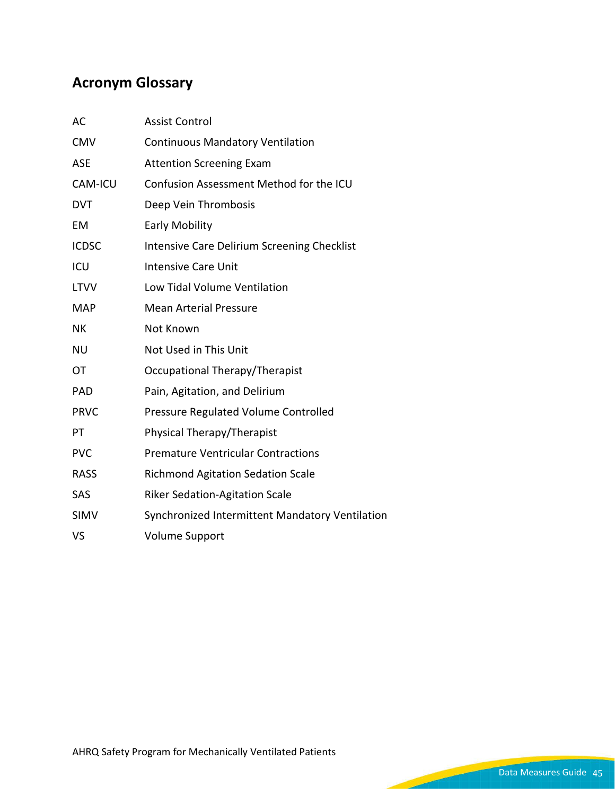## **Acronym Glossary**

| AC             | <b>Assist Control</b>                           |  |  |
|----------------|-------------------------------------------------|--|--|
| <b>CMV</b>     | <b>Continuous Mandatory Ventilation</b>         |  |  |
| <b>ASE</b>     | <b>Attention Screening Exam</b>                 |  |  |
| <b>CAM-ICU</b> | Confusion Assessment Method for the ICU         |  |  |
| <b>DVT</b>     | Deep Vein Thrombosis                            |  |  |
| EM             | <b>Early Mobility</b>                           |  |  |
| <b>ICDSC</b>   | Intensive Care Delirium Screening Checklist     |  |  |
| ICU            | <b>Intensive Care Unit</b>                      |  |  |
| <b>LTVV</b>    | Low Tidal Volume Ventilation                    |  |  |
| <b>MAP</b>     | <b>Mean Arterial Pressure</b>                   |  |  |
| <b>NK</b>      | Not Known                                       |  |  |
| <b>NU</b>      | Not Used in This Unit                           |  |  |
| OT             | Occupational Therapy/Therapist                  |  |  |
| <b>PAD</b>     | Pain, Agitation, and Delirium                   |  |  |
| <b>PRVC</b>    | Pressure Regulated Volume Controlled            |  |  |
| PT             | Physical Therapy/Therapist                      |  |  |
| <b>PVC</b>     | <b>Premature Ventricular Contractions</b>       |  |  |
| <b>RASS</b>    | <b>Richmond Agitation Sedation Scale</b>        |  |  |
| SAS            | <b>Riker Sedation-Agitation Scale</b>           |  |  |
| <b>SIMV</b>    | Synchronized Intermittent Mandatory Ventilation |  |  |
| VS             | <b>Volume Support</b>                           |  |  |

 $\sim$